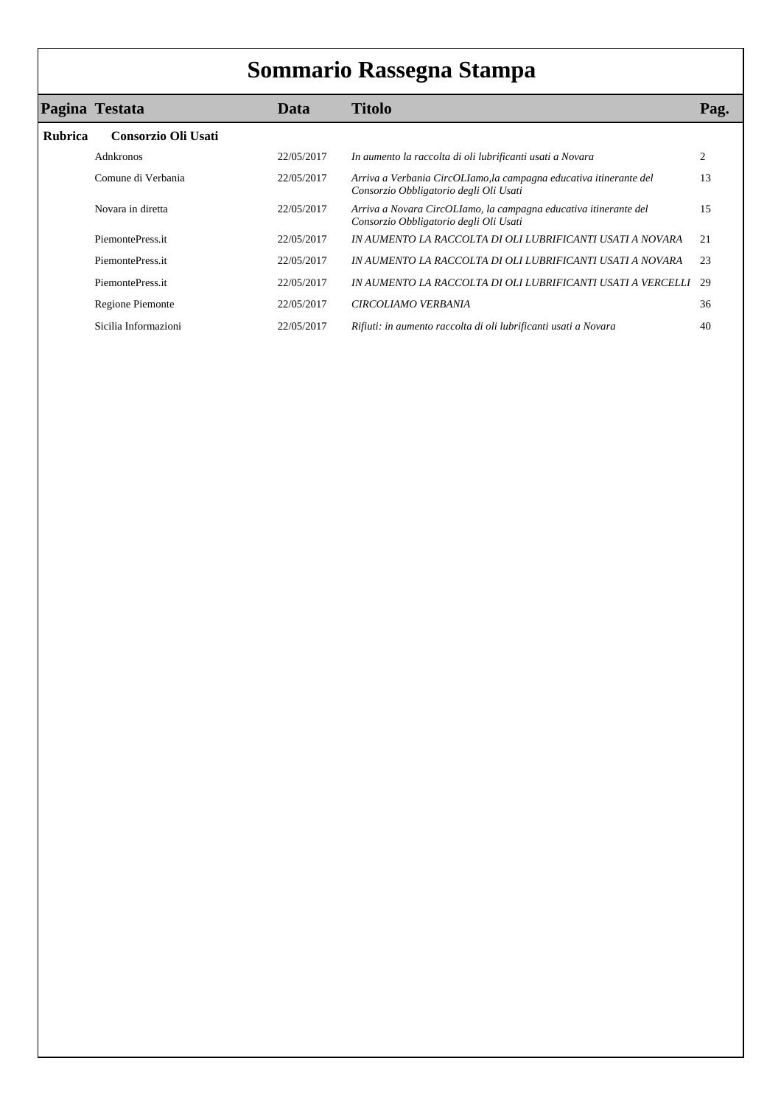## **Sommario Rassegna Stampa**

|                | Pagina Testata       | Data       | <b>Titolo</b>                                                                                                | Pag. |
|----------------|----------------------|------------|--------------------------------------------------------------------------------------------------------------|------|
| <b>Rubrica</b> | Consorzio Oli Usati  |            |                                                                                                              |      |
|                | Adnkronos            | 22/05/2017 | In aumento la raccolta di oli lubrificanti usati a Novara                                                    |      |
|                | Comune di Verbania   | 22/05/2017 | Arriva a Verbania CircOLIamo, la campagna educativa itinerante del<br>Consorzio Obbligatorio degli Oli Usati | 13   |
|                | Novara in diretta    | 22/05/2017 | Arriva a Novara CircOLIamo, la campagna educativa itinerante del<br>Consorzio Obbligatorio degli Oli Usati   | 15   |
|                | PiemontePress.it     | 22/05/2017 | IN AUMENTO LA RACCOLTA DI OLI LUBRIFICANTI USATI A NOVARA                                                    | 2.1  |
|                | PiemontePress.it     | 22/05/2017 | IN AUMENTO LA RACCOLTA DI OLI LUBRIFICANTI USATI A NOVARA                                                    | 23   |
|                | PiemontePress.it     | 22/05/2017 | IN AUMENTO LA RACCOLTA DI OLI LUBRIFICANTI USATI A VERCELLI                                                  | -29  |
|                | Regione Piemonte     | 22/05/2017 | CIRCOLIAMO VERBANIA                                                                                          | 36   |
|                | Sicilia Informazioni | 22/05/2017 | Rifiuti: in aumento raccolta di oli lubrificanti usati a Novara                                              | 40   |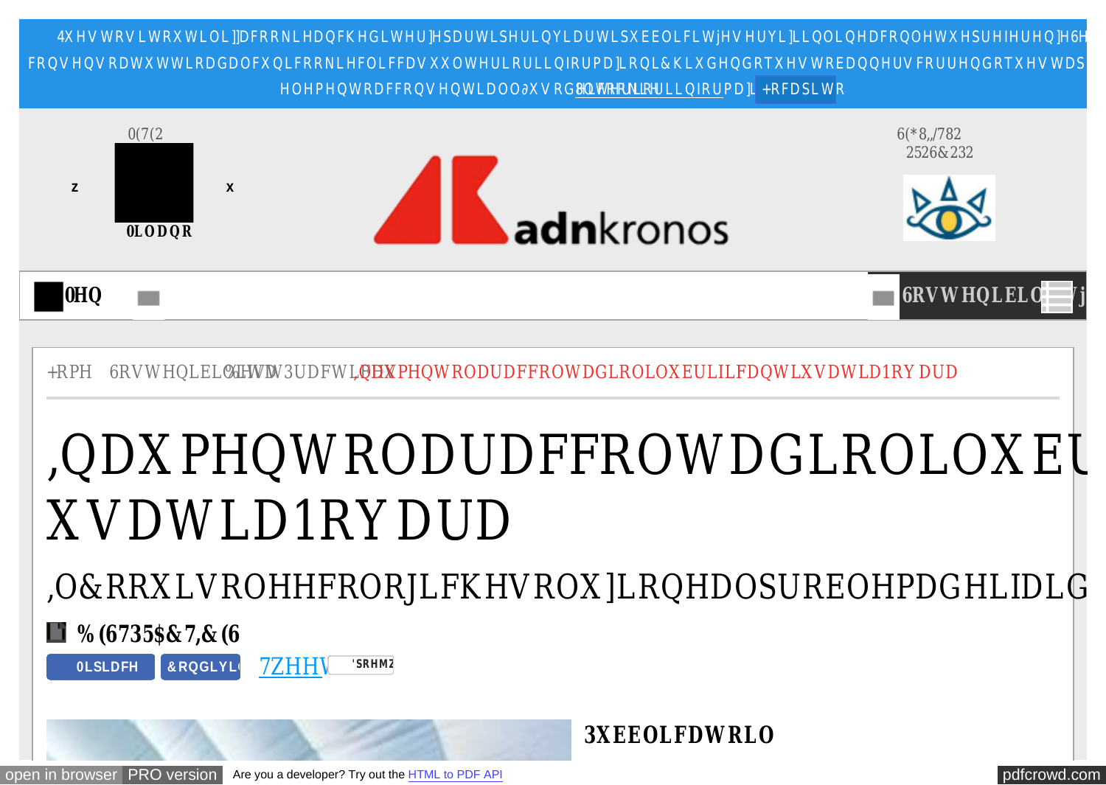<span id="page-1-0"></span>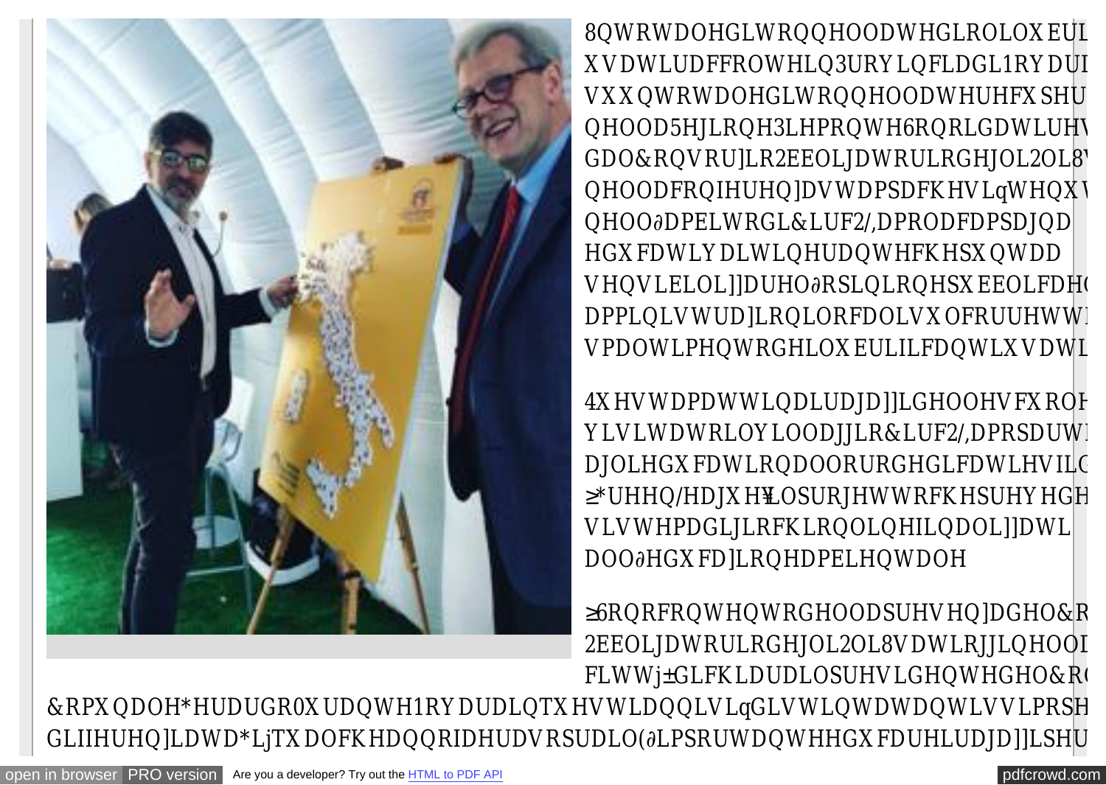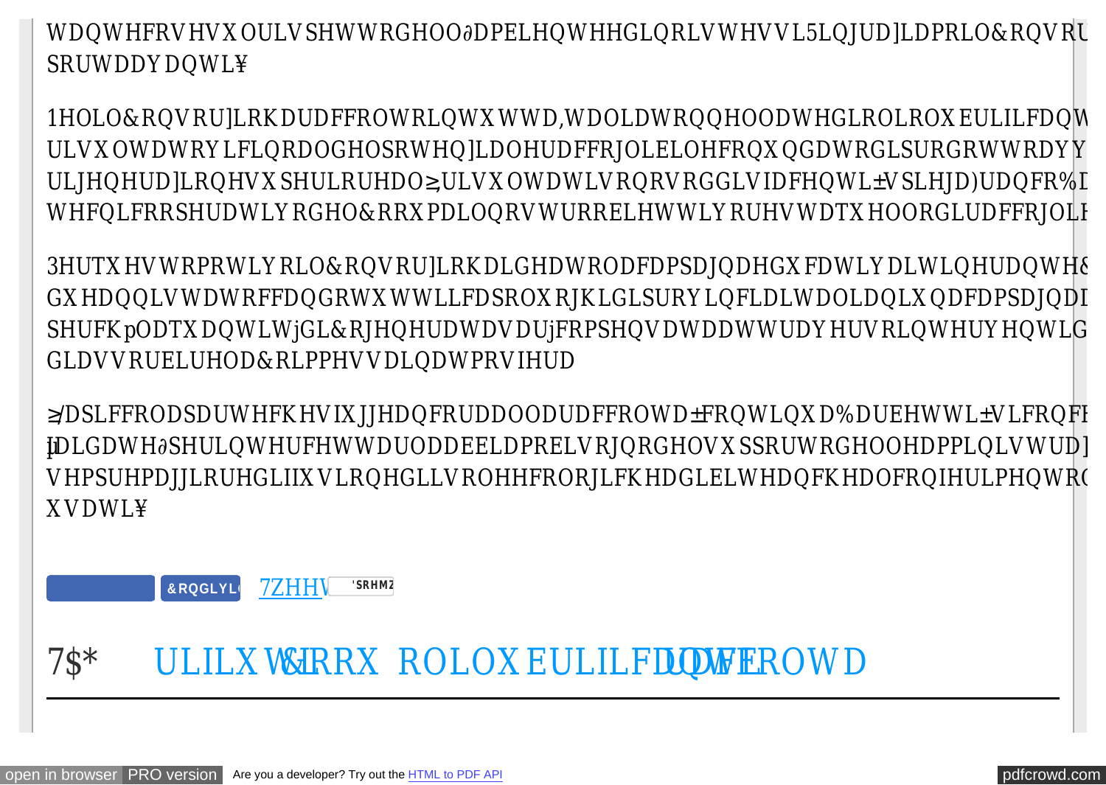



[ @ U ' d ] WWc ` U ' d U f h Y ' W\ Y ' g Z i [ [ Y ' U b Wc f U ' U ` ` U ' f U W\ Ï Z U ] ` X U ` h Y Đ . ` d Y f ` ] b h Y f WY h h U f ` U ` U V V ] U a c ` V ] g c [|t g Y a d f Y ' a U [ [ ] c f Y ' X ] Z Z i g ] c b Y ' X ] ' ] g c ` Y ' Y Wc ` c [ ] W' igUh] Î "

DYf<sup>'</sup>eiYghc'ach]jc']`'7cbgcfn]c'\U']XYUhc'`U| XiY Ubb] ghU hcWWUbXc hihh] ] WUdc`ic[\] X] | d Y f W\ $f$  ` U ` e i U b h ] h { ` X ] ` 7 c & ` [ Y b Y f U h U ` g U f { ` Wc a d \' X] UggcfV]fY U 7c& ]aaYggU ]b UhacgZYfU"

 $BY$  &  $$\%^*$  ] 7 c b g c f n ] c N U f U WWc ` h c ` ] b ` h i h h U ` = | f]gi`hUhc j] W]bc U` %\$\$ı XY` dchYbn]U`Y fUWWd  $f$ ] [YbYfUn] cbY 'gidYf] cfY 'U` '-) | " '  $f = f$ ] gi `hUh] h Y Wb ] Wc cd Y f U h ] j c X Y ` 7 c c i ! a U ` ] ` b c g h f c c V

h U b h Y ˙ Wc g Y ˙ g i ` ˙ f ]g d Y h h c ˙ X Y ` ` Đ U a V ] Y b h Y ˙ Y ˙ X ] ˙ b d dcfhU UjUbh]Î "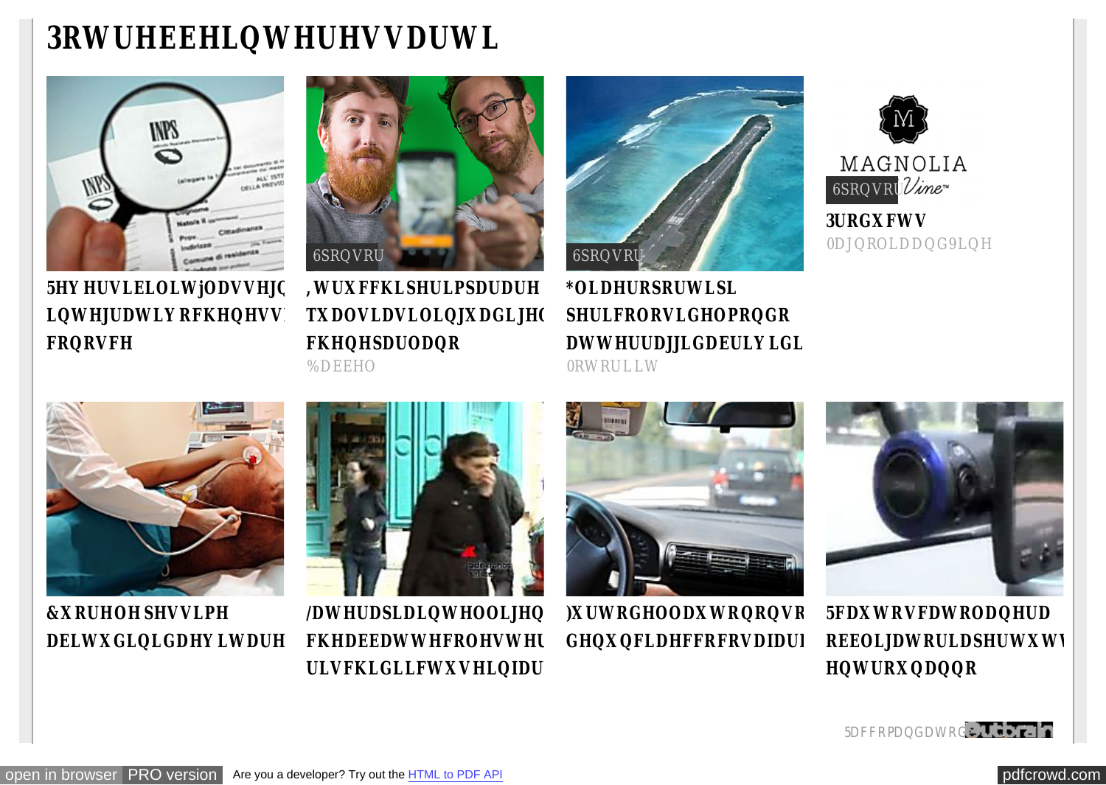# D c h f Y V V Y ' ] b h Y f Y g g U f h ]









MAGNOLIA  $G$  d c b  $\mathcal{U}$ ine

DfcXi Whq f| A U [ b c ` ] U ' U b X ' J

FYj Yfg] V] ` ] h { ]bhY[fUh]jc WeiU`g]Ug] `]b dYf]Wc`cg] XY WcbcgWY

W\Y bY dUf `Ub fl6UVVY`Ł

= ) hfiWW\] d ; `] UYfcdcfh] Uhh Y f f U [ [ ] X U fl A c h c f ] " ] h Ł



 $7i$  C f Y  $\check{z}$   $\check{y}$  Y  $\check{z}$   $\check{y}$  +  $\check{z}$ UV | hi X | b | X U









FUWWcaUbX<sub>s</sub>TTTTTT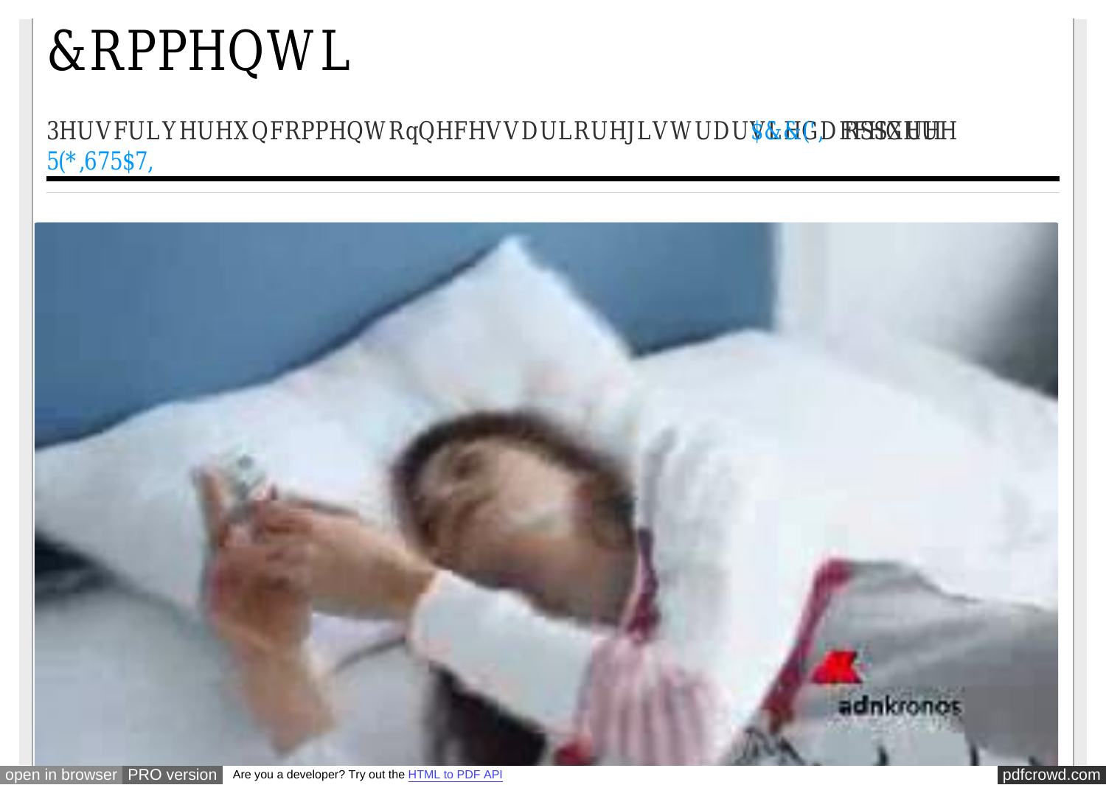# 7 c a a Y b h ]

## DYf gWf ] j Y f Y i b ' Wcaa Y b h c ' " ' b YS W Y g g dd d ic f Y Y [  $F 9$  ; = G H F 5 H =

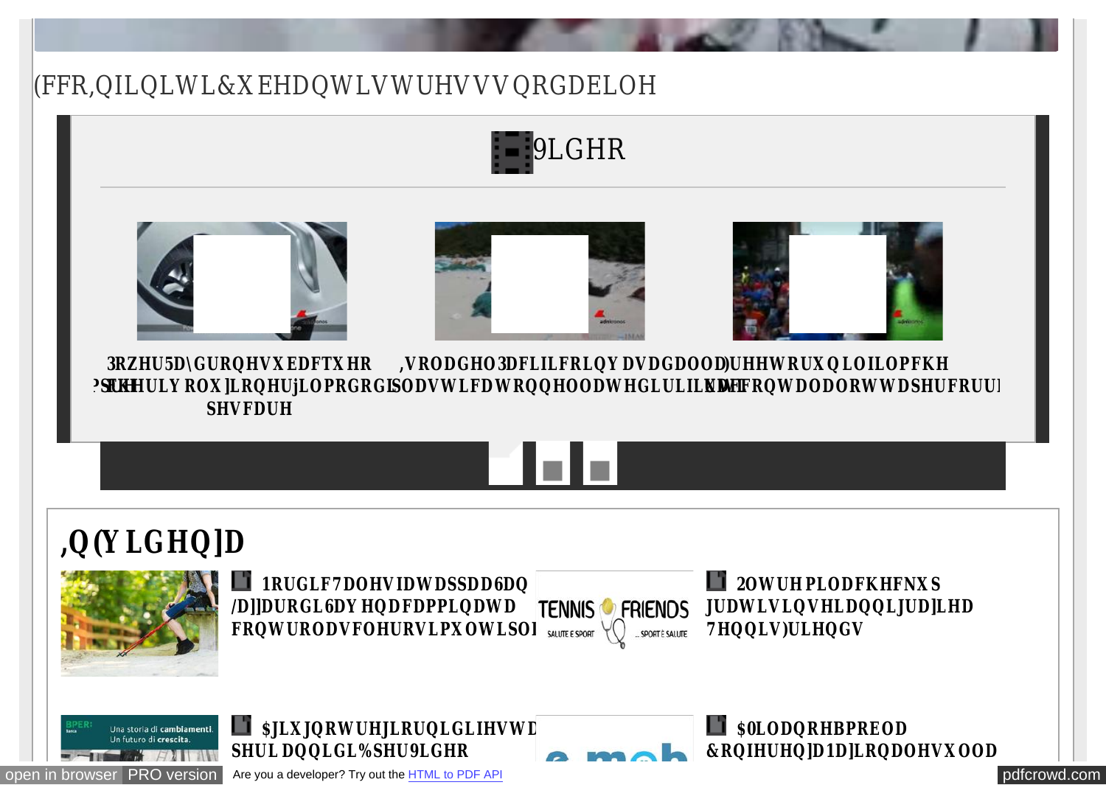# $[9 \text{ WWC} = b Z] b] h]$ ' 7 i V Y ž U b h  $]$  g h f Y g g ' g b c  $X$  U V  $]$  ` Y

![](_page_6_Figure_1.jpeg)

![](_page_6_Picture_2.jpeg)

![](_page_6_Picture_3.jpeg)

![](_page_6_Picture_4.jpeg)

5 A] Ubc YSacVž ARQIHUMDINGDOMIYADI

nDocbk YAfUFbbmíž X f c b Y · ejoj oV U We X YY `c ˙ D U W ] Z ] W cfi∶]fbYjYU ghLt ˙ XfU `b` fiUž ||WWLHY]WidjgcYaichf]YcbYfd{U]g`h]aWoUXzc %X]hcbbfYUWWJobYhUX]`UjZo]hh ||| d Y q WU f Y  $\check{Z}$  and  $\begin{bmatrix} 1 & 1 \end{bmatrix}$ 

![](_page_6_Picture_6.jpeg)

# $= b$   $9j$   $\infty$   $Yb$  n U

![](_page_6_Picture_8.jpeg)

D

1RCfX]WHU`Yg`ZU| LiC`hfY`&+a]`U`W\ || @UnnUfc X] GUjYbU**TENNISOFRIENDS** [fUh]g ]b gY] Ubb || Wcbhfc `UgW`Yfcgsaumeesporn $\setminus\hspace{-0.1cm}\setminus\hspace{-0.1cm}\setminus\hspace{-0.1cm}\setminus\hspace{-0.1cm} \setminus\hspace{-0.1cm}\setminus\hspace{-0.1cm}\setminus\hspace{-0.1cm}\setminus\hspace{-0.1cm}\setminus\hspace{-0.1cm}\setminus\hspace{-0.1cm}\setminus\hspace{-0.1cm}\setminus\hspace{-0.1cm}\setminus\hspace{-0.1cm}\setminus\hspace{-0.1cm}\setminus\hspace{-0.1cm}\setminus\hspace{-0.1cm}\setminus\hspace{-0.1cm}\setminus\hspace$ 

 $dYf$  ] %) \$  $Ub b$  ]  $X$   $\rightarrow$   $\rightarrow$ 

 $\blacksquare$  5  $\blacksquare$  i [bc hf Y  $\blacksquare$ ]

![](_page_6_Picture_11.jpeg)

[open in browser](http://pdfcrowd.com/redirect/?url=http%3a%2f%2fwww.adnkronos.com%2fsostenibilita%2fbest-practices%2f2017%2f05%2f19%2faumento-raccolta-oli-lubrificanti-usati-novara_TA3jrmOjlTQB2vvrRwFYYK.html&id=ma-170522012449-30cf4255) [PRO version](http://pdfcrowd.com/customize/) Are you a developer? Try out th[e HTML to PDF API](http://pdfcrowd.com/html-to-pdf-api/?ref=pdf) position and the ATML to PDF API position and the ATML to PDF API position and the ATML to PDF API position and the ATML to PDF API position and

[\(FFR,QILQLWL&XEH](http://www.adnkronos.com/2017/05/20/ecco-infiniti-cube-antistress-snodabile_8mJhb4TsQGrvNlqmm60OsL.html)DQWLVWUHVV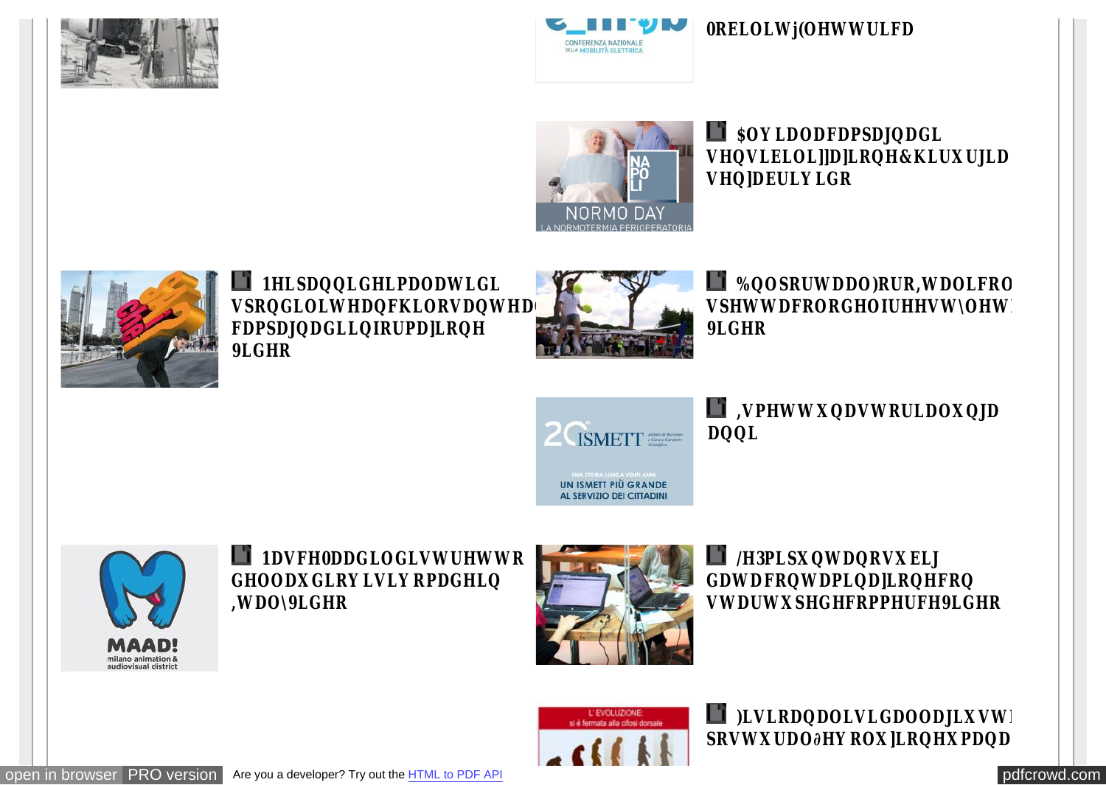![](_page_7_Picture_0.jpeg)

![](_page_7_Picture_1.jpeg)

 $A C V$ ] `] h {  $9$  ` Y h h f ] V

![](_page_7_Picture_3.jpeg)

**b** 5 i j U U WUad U  $gYbg$ ] $V$ ] nnUn]  $cbY$ q Y b n U V f l i 1 X c fi

![](_page_7_Picture_5.jpeg)

fiBY] dUbb]fi XY] gdcbX] ` ] h Y ' U b W \ ] ` WUadU[bU X] ]bZcf # J ] X Y c

![](_page_7_Picture_7.jpeg)

 $\Box$  6b dcfhU U : c gdYhhUWc`c XY` Zf # J ] X Y c

![](_page_7_Picture_9.jpeg)

 $\blacksquare$  = gaYhhž ibU ghc  $&$ \$ Ubb]

![](_page_7_Picture_11.jpeg)

BUgWY AUUX ž ] XY``fiUiX]cj]g]jc  $= h U$ ` m # J ] X Y c

![](_page_7_Picture_13.jpeg)

 $\Box$  @Y Da] dibhUbc X U h U ž Wc b h U a ] b U n ] gh Ufhid YX Y! Wcaa

![](_page_7_Picture_15.jpeg)

 $\blacksquare$ : ] g ] c U b U ` ] g ] ž X dcghifU<sup>'</sup> DY<sub>j</sub>c'in]

[open in browser](http://pdfcrowd.com/redirect/?url=http%3a%2f%2fwww.adnkronos.com%2fsostenibilita%2fbest-practices%2f2017%2f05%2f19%2faumento-raccolta-oli-lubrificanti-usati-novara_TA3jrmOjlTQB2vvrRwFYYK.html&id=ma-170522012449-30cf4255) [PRO version](http://pdfcrowd.com/customize/) Are you a developer? Try out th[e HTML to PDF API](http://pdfcrowd.com/html-to-pdf-api/?ref=pdf) position of the ATML to PDF API [pdfcrowd.com](http://pdfcrowd.com)

&KLUXUJLD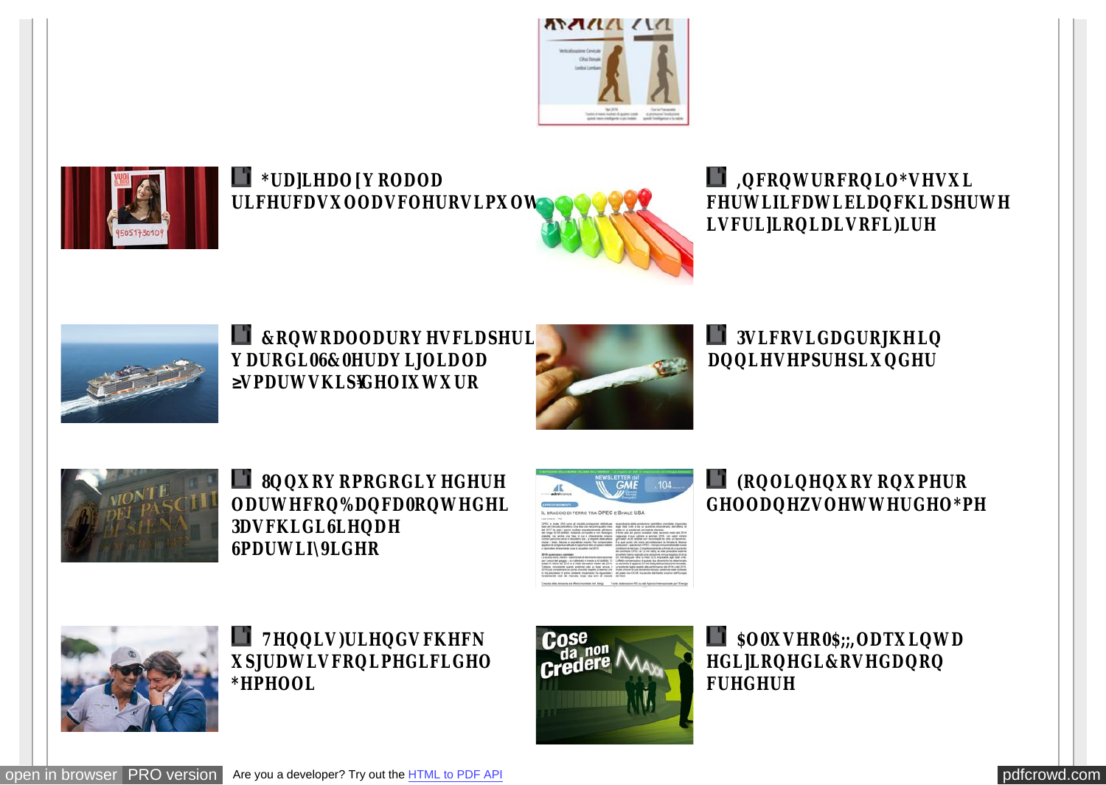![](_page_8_Picture_0.jpeg)

 $\Box$  = b Wc b h f c Wc b  $\Box$ WY f h | Z | WU h | V | U b V lqWf | n | c b ] U ] g c V

![](_page_8_Picture_2.jpeg)

Bi7cbhc U``U fcjY Ufc X | AG7 AYfUIS  $ig$ a Ufhg\] d  $\hat{i}$  XY`

 $\blacksquare$ ; f Un ] Y U ` ) I %\$\$ f] WYfWU gi ` ` U g W`

![](_page_8_Picture_4.jpeg)

Dig] Wcg] XU Xfc[ ) Ubbl Y q Y a d f Y c

![](_page_8_Picture_6.jpeg)

**8QQXRYXPRGGRGLYHGME** 104  $\left.\begin{array}{ccc} \cdot & \textsf{fi}\ \cup\ \textsf{f}\ \textsf{h}\ \vee & \textsf{Wc}\ \textsf{b}\ & \textsf{6}\ \cup\ \textsf{b}\ \textsf{W}\ \cup & \textsf{h}\ \textsf{h}\ \textsf{R}\ \textsf{R}\ \textsf{R}\ \textsf{R}\ \textsf{R}\ \textsf{R}\ \textsf{R}\ \textsf{R}\ \textsf{R}\ \textsf{R}\ \textsf{R}\ \textsf{R}\ \textsf{R}\ \textsf{R}\ \textsf{R}\ \textsf{R}\ \textsf{R}\ \textsf{R}\ \textsf{R}\ \textsf{R}\ \textsf{R}\ \textsf{R}\ \$ DUq W\] X ] G ] Y b U Ga Ufh  $2m \# J$   $1 \times Yc$ 

![](_page_8_Picture_8.jpeg)

'9 ficb') b Y b i c j || XY``U`bYkg`YhhYf`

![](_page_8_Picture_10.jpeg)

 7HQQLV )ULHQGV id [fUh]g Wcb ] Y a Y ` ` 1

![](_page_8_Picture_12.jpeg)

 $\begin{array}{|c|c|c|c|c|c|}\hline \textbf{m} & \textbf{m} & \textbf{m} & \textbf{m} & \textbf{m} & \textbf{m} & \textbf{m} & \textbf{m} & \textbf{m} & \textbf{m} & \textbf{m} & \textbf{m} & \textbf{m} & \textbf{m} & \textbf{m} & \textbf{m} & \textbf{m} & \textbf{m} & \textbf{m} & \textbf{m} & \textbf{m} & \textbf{m} & \textbf{m} & \textbf{m} & \textbf{m} & \textbf{m} & \textbf{m} & \textbf{m} & \textbf$ YX] n] c b Y X ] 7 c g Y Wf Y X Y f Y "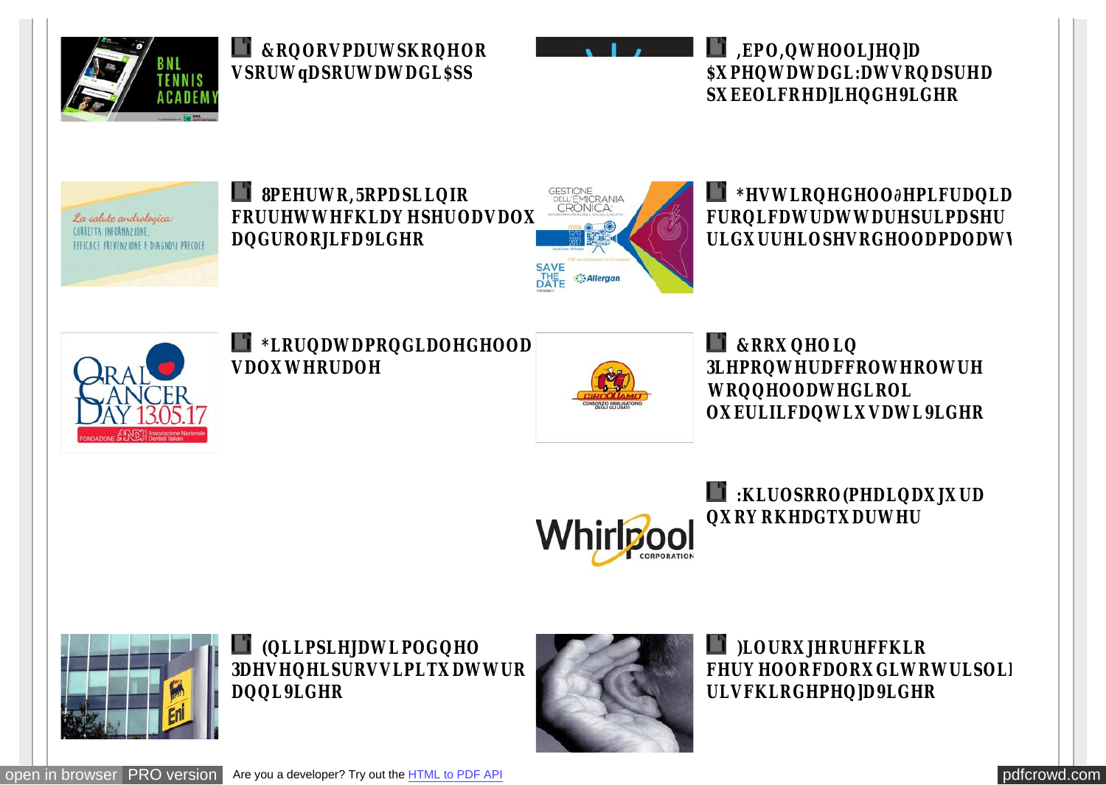![](_page_9_Picture_0.jpeg)

 $\blacksquare$  7 c b  $\degree$  c  $\degree$  g a U f h d \ c gdcfh', UdcfhUhU  $\blacksquare$  = Važ infi = bhY infinition 5ia Y b h U h U X ] K U h c di VV ` ] Wc ` Y ` Un ] Y b X

![](_page_9_Picture_3.jpeg)

 $\blacksquare$  1 a V Y f h c = F c a U  $\zeta$  SESTIONE WcffYhhY W\]UjY (" UbXfc `c [ ] WU # J ] X Y SAVE<br>THE MAllergan

 $\blacksquare$ ; Ygh] cbY XY``ĐY Wf c b ] WU. hf Uhh Uf Y f ] X i f f Y ' ] ` d Y g c ' X

![](_page_9_Picture_6.jpeg)

 $\blacksquare$ ; ] c f b U h U  $\,$  a c b X ] U qU'ihY cfU'Y

![](_page_9_Picture_8.jpeg)

 $\Box$  7 c c i ž b Y  $8$  \$ %  $*$ D | Y a c b h Y f U WWc ` h Y %\* " \* \$ \$ ' h c b b Y ` ` U h Y `i Vf 1 Z 1 WUb h 1 i g U r

![](_page_9_Picture_10.jpeg)

![](_page_9_Picture_11.jpeg)

![](_page_9_Picture_12.jpeg)

![](_page_9_Picture_13.jpeg)

 $\blacksquare$  fi:  $\upharpoonright$  f c i  $\lceil$  Y fi c f Y WYfj Y ` ` c ž ` WU ` c ` i ) f | g W \ | c X Y a Y b n U +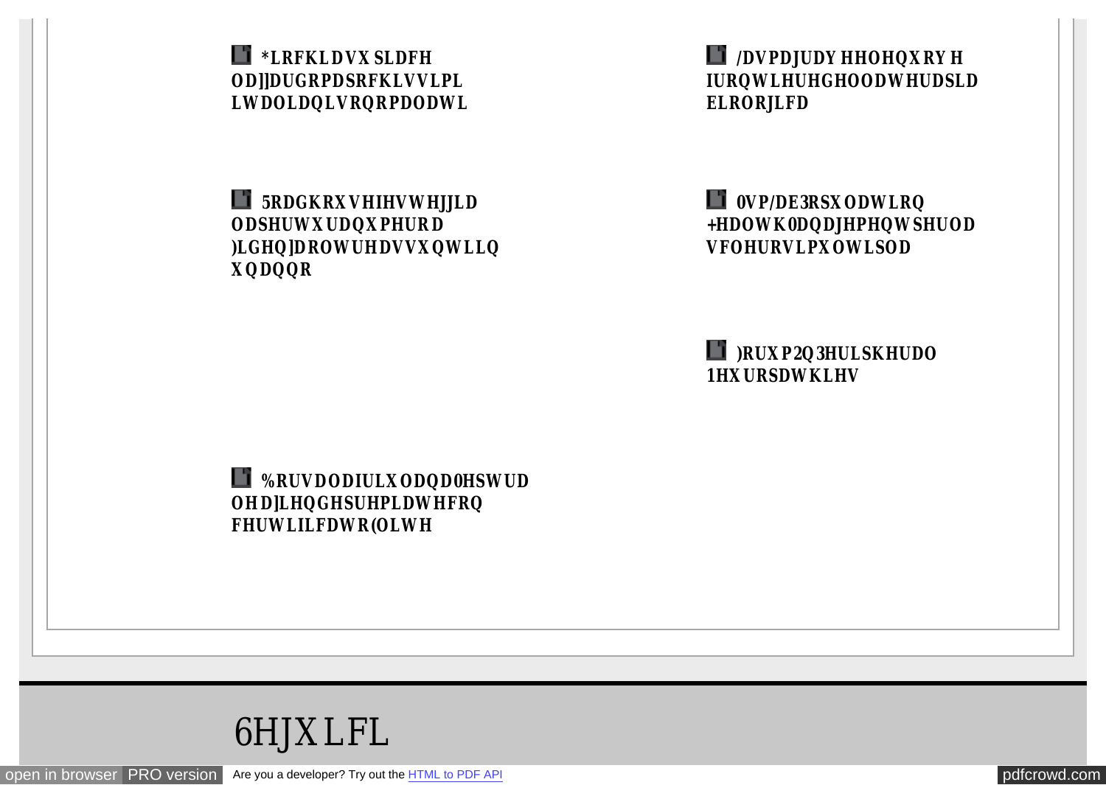$\blacksquare$ : ] cW\] ž U % gi `fiUnnUf X c `a U `d c W \ ]hU`]Ub] gcbc fial

FCUX\cigY ZYghY `fiUdYfhifU`biaYfc : ] X Y b n U ž · c ` h f Y · \* \$  $i$   $b$   $i$   $l$   $b$   $b$   $c$ 

@fiUgaU [fUjY Y || Zfcbh | YfY XY ` ` U ` h V ] c ` c [ ] WU

LAga@UV Dcdi `Uh]  $\langle$  Y U ` h \ ` A U b U [ Y a Y b h g W Y f c g ] a i ` h ] d ` l

 $\blacksquare$ : cfia Cb DYf]d\ BY i f c d U h \ 1 Y a

 $\Box$  6 c f g U ž  $\dot{\phantom{a}}$  U  $\phantom{a}$  Z f ] i  $\ddot{\phantom{a}}$ `Y`&) Un|YbXY dfY WYfhl Z | WUhc 9 \ | h \

 $G Y$  | | |  $W$ }  $\frac{1}{88}$   $\frac{1}{88}$   $\frac{1}{88}$   $\frac{1}{88}$   $\frac{1}{88}$   $\frac{1}{88}$   $\frac{1}{88}$   $\frac{1}{88}$   $\frac{1}{88}$   $\frac{1}{88}$   $\frac{1}{88}$   $\frac{1}{88}$   $\frac{1}{88}$   $\frac{1}{88}$   $\frac{1}{88}$   $\frac{1}{88}$   $\frac{1}{88}$   $\frac{1}{88}$   $\frac{1}{8$ 

t.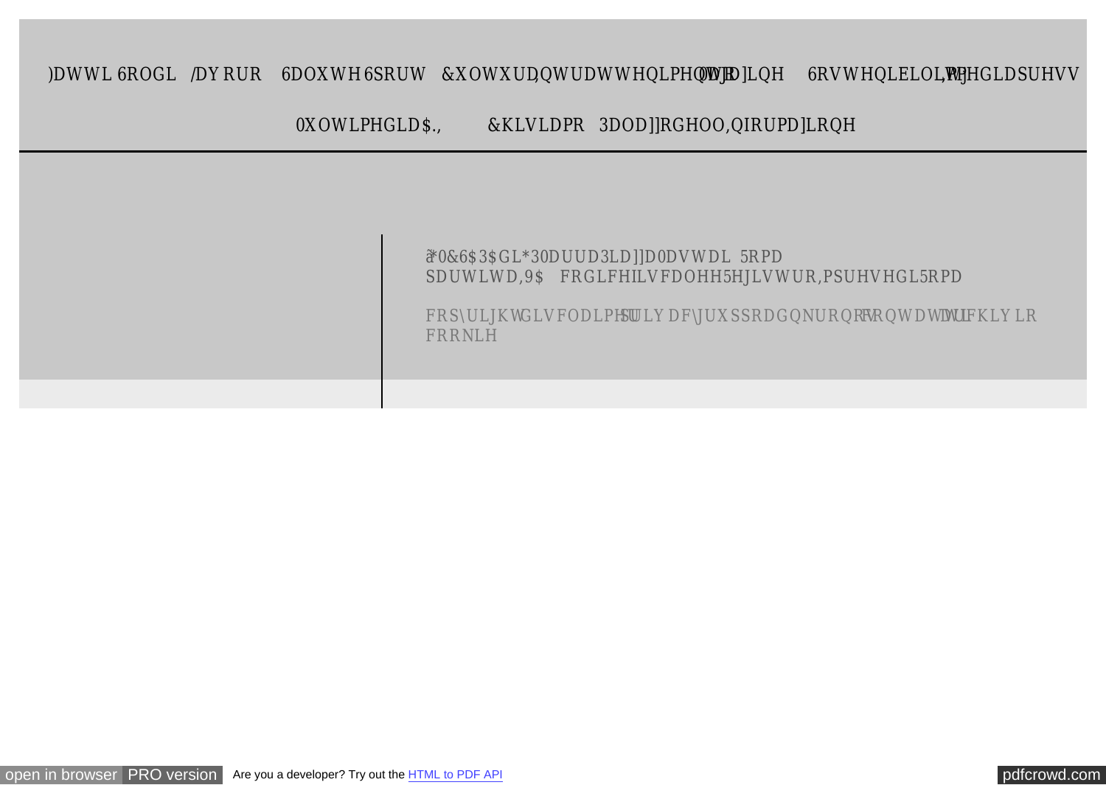: UhhGc` X @ Uj c f G U` i hGYd c f h i ` h i 自 b h f U h h Y b A b [Y b m c b t g h Y b ] \ la `a ]Y hX {] U d

0XOWLPHGLD \$.,&KLVLDPR 3DOD]]RGHOO ,QIRUPD]LRQH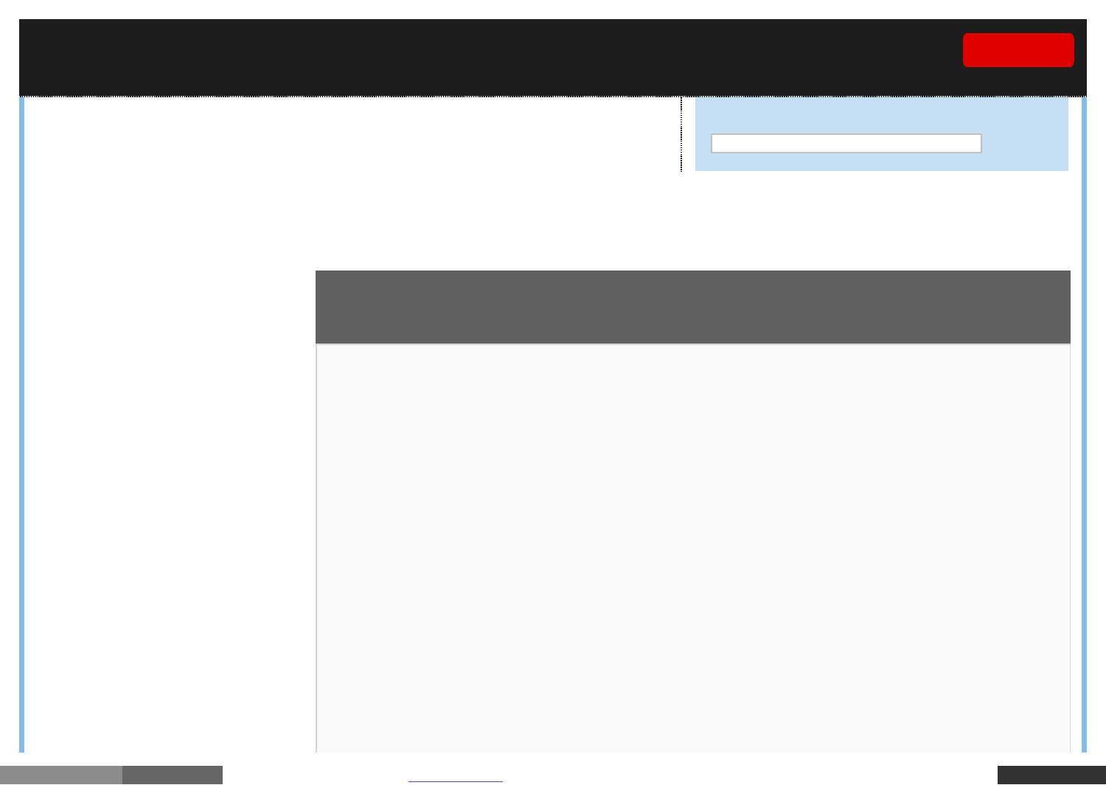#### <span id="page-12-0"></span>3WGUVQ UKVQ WVKNK\\C K EQQMKG RGT TGPFGTG OKINKQTG NC VWC GURO  $$88(66]$ N WVKNKIIQ FGK EQQMKG UGEQ**IRPCHQWCPQ`Q'K&CE**TKVVQ PGNN 6HUYLIL H LQIRUPDILRQL XWLOL DO  $6HOH$ ] $L$ RQD , Q Y L 3DOD]]R &LYLFR 3LD]]D \*DULEDOGL  $S<sub>1</sub>YD$ **WHO**  $|D|$ \$55,9\$ \$9(5%\$1,\$ &,5&2/,\$02 /\$ &\$03\$\*1\$ ('8&\$7,9\$,7,1(5\$17('(/ & 2  $2\%$ %/,\*\$725,2 '(\*/, 2/, 86\$7, /81('Î 25( 3,==\$) //, %\$1',(5\$ & RQ LO SDWURFLQLR GL 0LQLVWHUR GHOOTSPELHQWH \$1&, 5HJLRQH SUULYD D SHUEDQDDR FDPSDJQD HGXFDWLYD LWLQHUDQWH GHO &RQVR OXEULILFDQWL XVDWL ULVFKL SHU OTDPELHQWH H RSSRUWXQLWI SHU ) UDWHOOL % DQGLHUD DOO¶LQWHUQR GHO YLOODJJLR & LIUNFY P.QQRHSIOORING GLUHWWRUH WHFQLFR) BISHQUERWLDYBEGHHOW&228 / [IH YH Q W R UDOS||SAUOHN LHRDIW DWD SSDG HSOL **61 BFODWP SD LH** Q D H G X FD W L YD L W L Q H U D Q N 2EEOLJDWRULR GHJOL 2OL 8VDWL FRQ LO SDWURFLQLR GHO 0LQLVWHU WRFFDQGR WXWWL L FDSROXRJKL GL SURYLQFLD LWDOLDQL DOOR VFRS ORFDOL VXO FRUUHWWR VPDOWLPHQWR GHL OXEULILFDQWL XVDWL H R DOOTLQWHUQR GHOOTLLQDFORDQJWURR & FIRLOF 2./ UDPRIFINGHS GHV  $'DDOOH$  $D O O H$ SDUWHFLSHUDQQR DJOL HGXFDWLRQDO ORUR GHGLFDWL L UDJDIIL VL JLRFKHUDQQR D <sup>3\*</sup>UH**HQ SHDBRH**VRFLDO JDPH ILQDOL]]DWR DOO¶HGXFD 1HO FRUVR GHOO¶LQFRQWUR FRQ OD VWDPSD YHUUDQQR UHVL QRWL L 3 L H P R Q W H H L Q S D U W L F R O D U H LOQ 83 RU Q W R LO RD LOS S Q U R S R N D IU D Q V L H P H D L HYHQWXDOL GLIILFROW; R LQDGHPSLHQ]H / ROLR OXEULILFDQWH XVDW FRUUHWWDPHQWH 6H XWLOLIIDWR LQ PRGR LPSURSULR SXz HVVHUH H XPDQD EDVWL SHQVDUH FKH NJ FLUFD GL ROLR ± LO FDPELR GL XQ¶I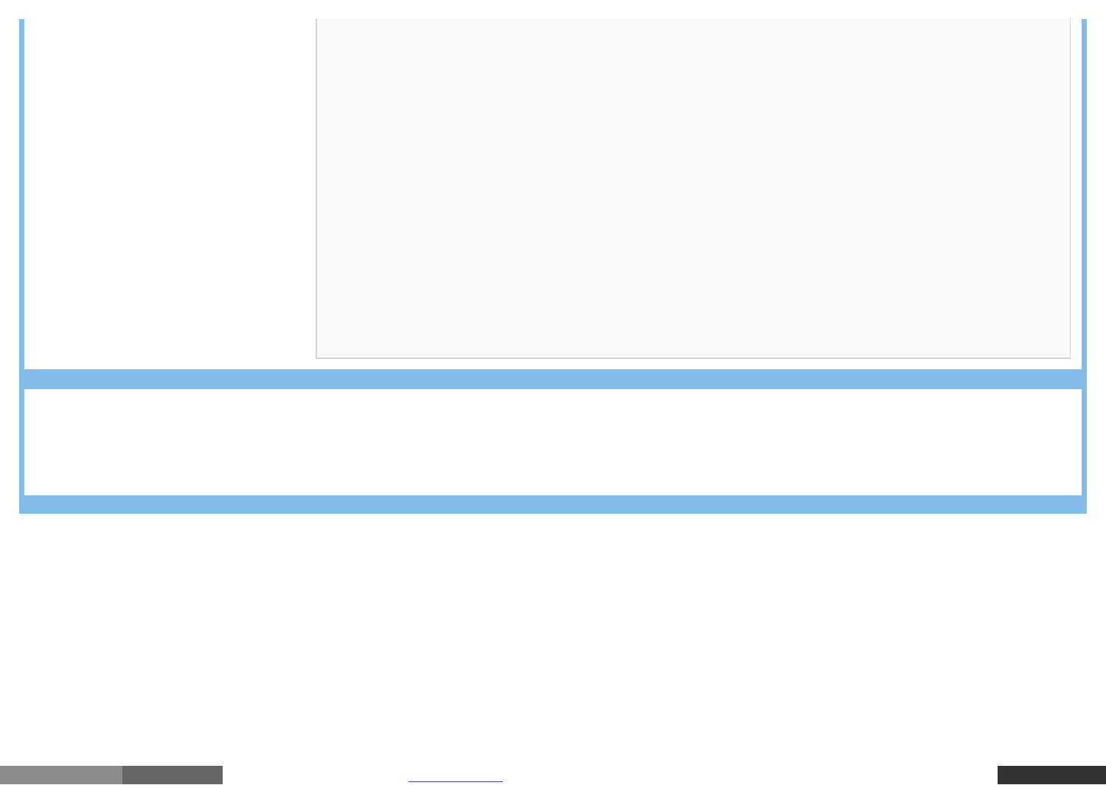$82081($  ', 9(5%\$1,\$ & 22., (32/, & \$ & & (66, %, /, 35, 9 \$ & < 02'8/, 67, & \$127( / (\* \$ /, \$ & & (662 \$5(\$5, 6(59 \$7\$) 3DOD]]R &LYLFR 3LD]]D \*DULEDOGL S LYD WHO  $IDI$ LVWLWX]LRQDOH YHUEDQLD#OHJDOPDLO LW

JUDQGH TXDQWR XQ FDPSR GL FDOFLR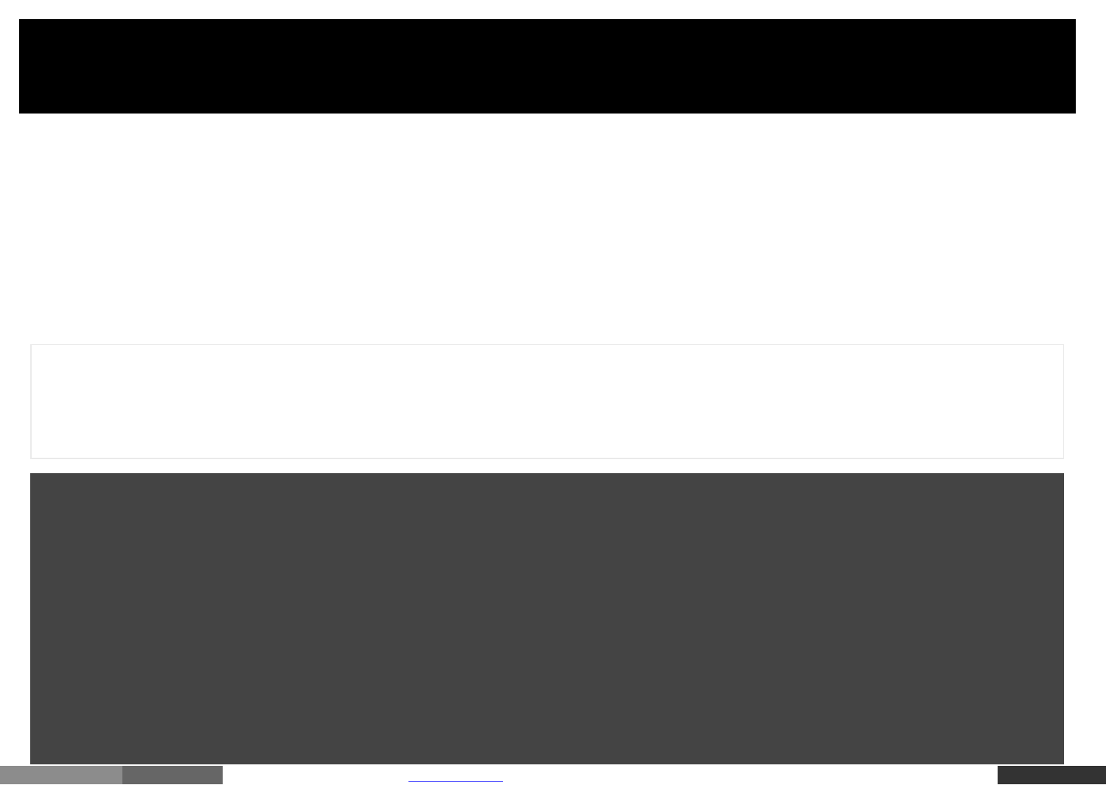#### <span id="page-14-0"></span>4XHVWR VLWR R JOL VWUXPHQWL WHU]L GD TXHVWR XWLOL]]DWL VL DYYDOJRQR GL FRRNLH QH &KLXGHQGR TXHVWR EDQQHU VFRUUHQGR TXHVWD SDJLQD FOLFFDQGR VX XQ OLQN R SURVHJ

#### &RQW &RQVXOWD OD SULYDF\ SROLF\

+RPH 3ULPD3DJLQD

![](_page_14_Picture_3.jpeg)

open in browser PRO version Are you a developer? Try out the HTML to PDF API compared and the ATML to PDF API pdfcrowd.com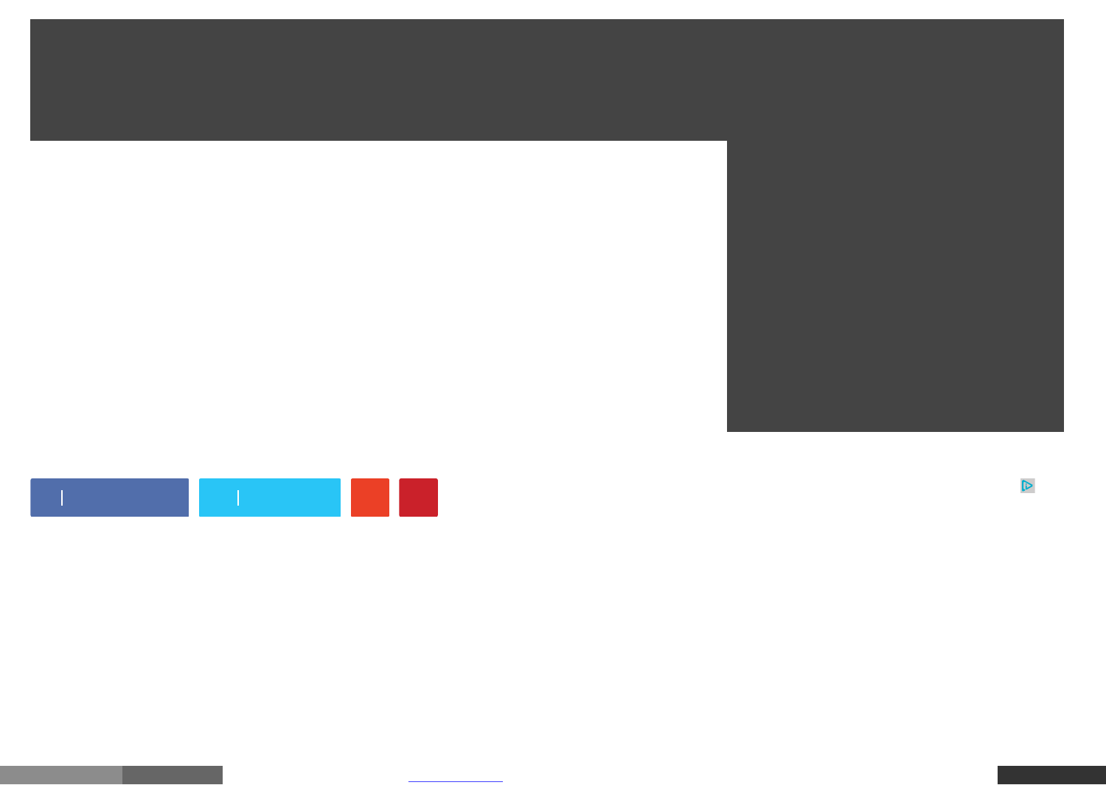# #TTKXC C 0QXCTC %KTE1.+COQ ECORCIPC GFWECVKXC KVKPGTCPV %QPUQT\KQ 1DDNKICVQTKQ FGINK 1 7UCVK

'SR MP TEXVSGMRMS HM 1MRMWXIVS HIPP"%QFMIRXI %2'-6IKMSRI4MIQSRXII 'SQYRIHM 0DJJLR

![](_page_15_Picture_3.jpeg)

| \$UULYD D 1RYDUD & LUF2/, DPR OD FDPSDJQD HGXFDWLYD LWLQHUD | <b>LJD</b> |
|-------------------------------------------------------------|------------|
| GHJOL 2OL 8VDWL 2OL OXEULILFDQWL XVDWL ULVFKL SHU O¶DPELH   | $O\P H$    |
| H ORFDOH VRQR L WHPL SULQFLSDOL GHOOD FRQIHUHQID VWDPSD I   | $DJ$ .     |
| LQ SLD]]D 3XFFLQL DOO¶LQWHUQR GHO YLOODJJLR & LUF2/, DPR    | V V H      |
| DOOT SPELHQWH (PLOLR, RGLFH H GHO GLUHWWRUH WHFQLFR RSHUI   | DUE        |
|                                                             |            |

/¶HYHQWR UDSSUHVHQWD OD SHQXOWLPD WDSSD SLHPRQWHVH GHOOD FDPSDJQD HGXFDWLYD

 $\triangleright$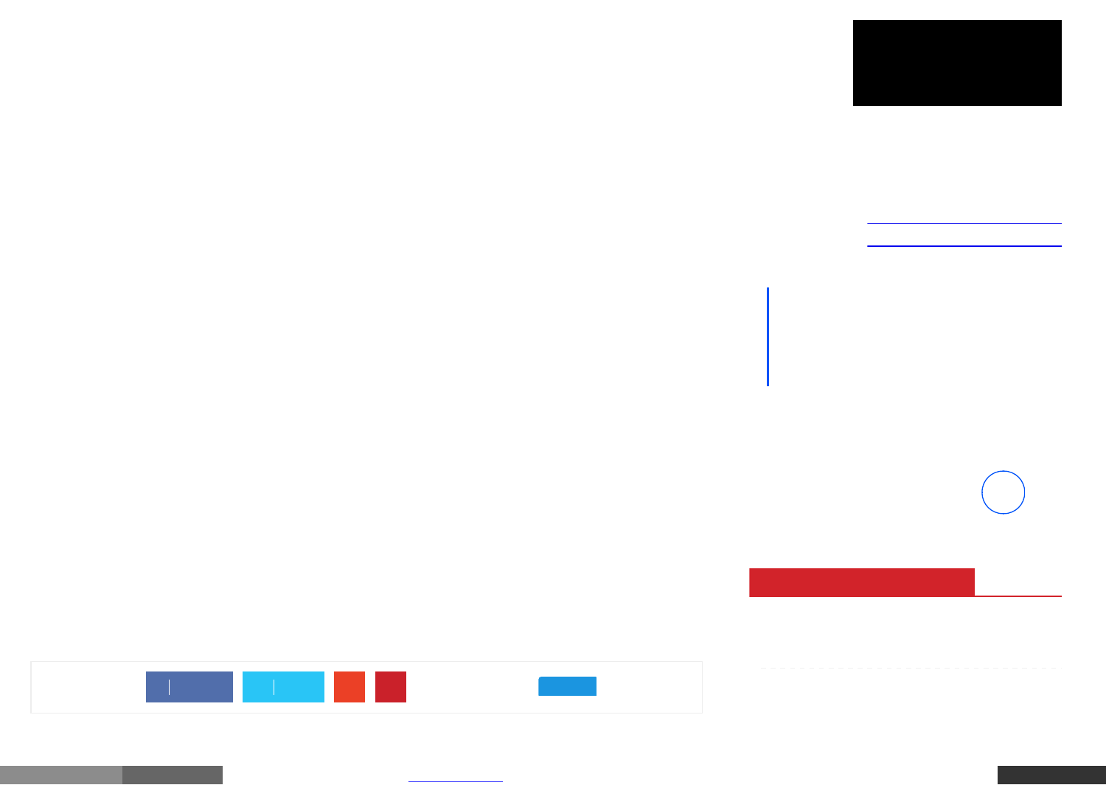RUJDQLIIDWD GDO & RQVRUILR 2EEOLJDWRULR GHJOL 2OL 8VDWL FRQ LO SD GHOO¶\$PELHQWH H GL \$1&, FKH QHOO¶DUFR GL GXH DQQL VWD WRFFDQGR LWDOLDQL DOOR VFRSR GL VHQVLELOLIIDUH OTRSLQLRQH SXEEOLFD H OH DF VPDOWLPHQWR GHL OXEULILFDQWL XVDWL H RWWLPL]]DUQH OD UDFFROWD

'DOOH DOOTLQWHUQR GHO YLOODJJLR & LUF2/, DPR q SUHYLVWR OTLQFROWUR FRQ L **DOOH** VFXROH FKH SDUWHFLSHUDQQR DJOL HGXFDWLRQDO ORUR GHGLFDWL L UDJDIIL VL IHUPHUDQQR DOOHVWLWR GDO &RQVRUILR H JLRFKHUDQQR D 3\*UHHQ /HDJXH' LO SULPR VRFLDO JDPH ILQDOLI DOO¶HGXFDILRQH DPELHQWDOH  $%$  FSZI + VSYI

1HO FRUVR GHOO¶LQFRQWUR FRQ OD VWDPSD YHUUDQQR UHVL QRI XVDWL LQ 3LHPRQWH H LQ SDUWLFRODUH LQ 3URYLQFLD GL 1RYDUI UHODWRUL OH VROXILRQL DG HYHQWXDOL GLIILFROWI R LQDGHPSL SHULFRORVR FKH GHYH HVVHUH VPDOWLWR FRUUHWWDPHQWH 6H HVVHUH HVWUHPDPHQWH GDQQRVR SHU O¶DPELHQWH H SHU OD VD FLUFD GL ROLR ± LO FDPELR GL XQ¶DXWR ± VH YHUVDWL LQ PDUH { TXDQWR XQ FDPSR GL FDOFLR

![](_page_16_Figure_3.jpeg)

open in browser PRO version Are you a developer? Try out the HTML to PDF API

![](_page_16_Figure_5.jpeg)

KL

HJO

 $\overline{a}$ 

**JRS** 

DUF

**JILF** 

+N ) KQTPCNG FGN

FPYI[SVPHTSSPW G

4 V M G I W

-RWXEPPIH

OMQMXIH 8

 $+$ IX E 4SSP \*SV %W

 $(MXL)$   $(TIVX - RWX)$  -  $TUVX - TUVX$ 

'VIWGI FRGSVF MP JVFI H EJJEVM HM QPH IY'

 $(IMERE YSRJEWWSGME)$ WSPYAMSRM YXMPM TIV VMWTEVQMEXSVM | MR.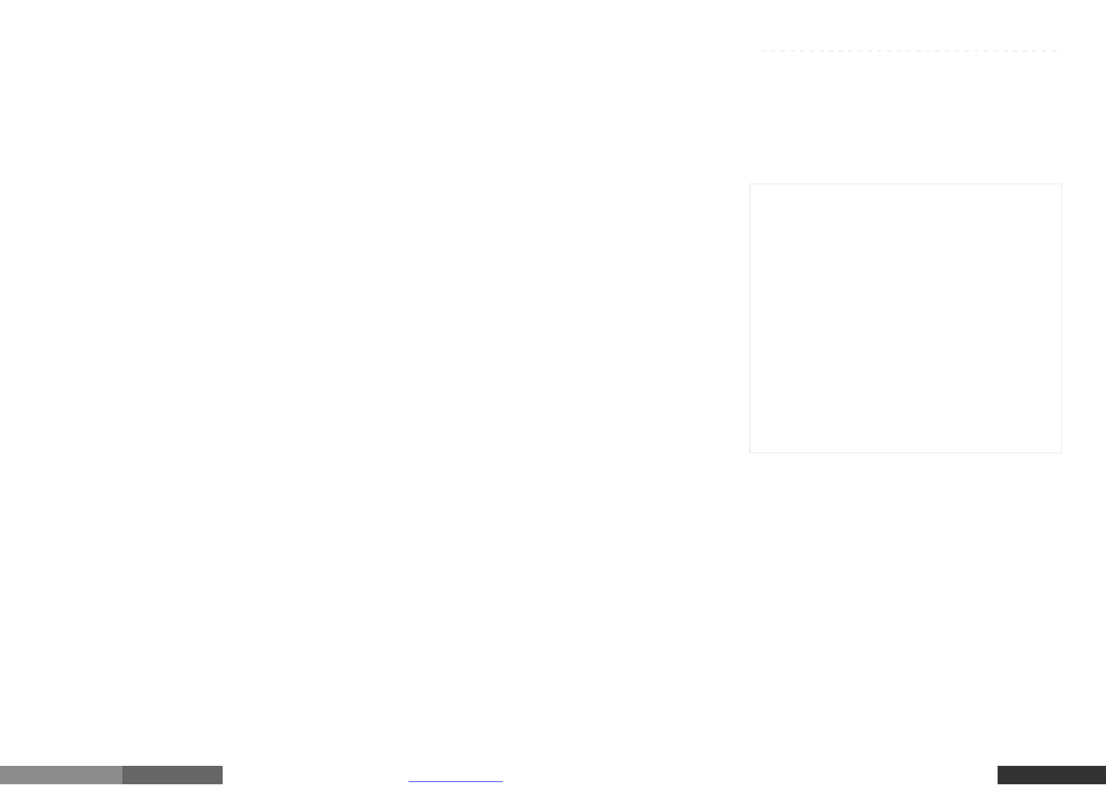|--|

%WWSMQTVIWI 01 TVS1 GSQTIXMXMZMXÆ HIPP IWXIRHIVI KEVERAMI EN

![](_page_17_Picture_2.jpeg)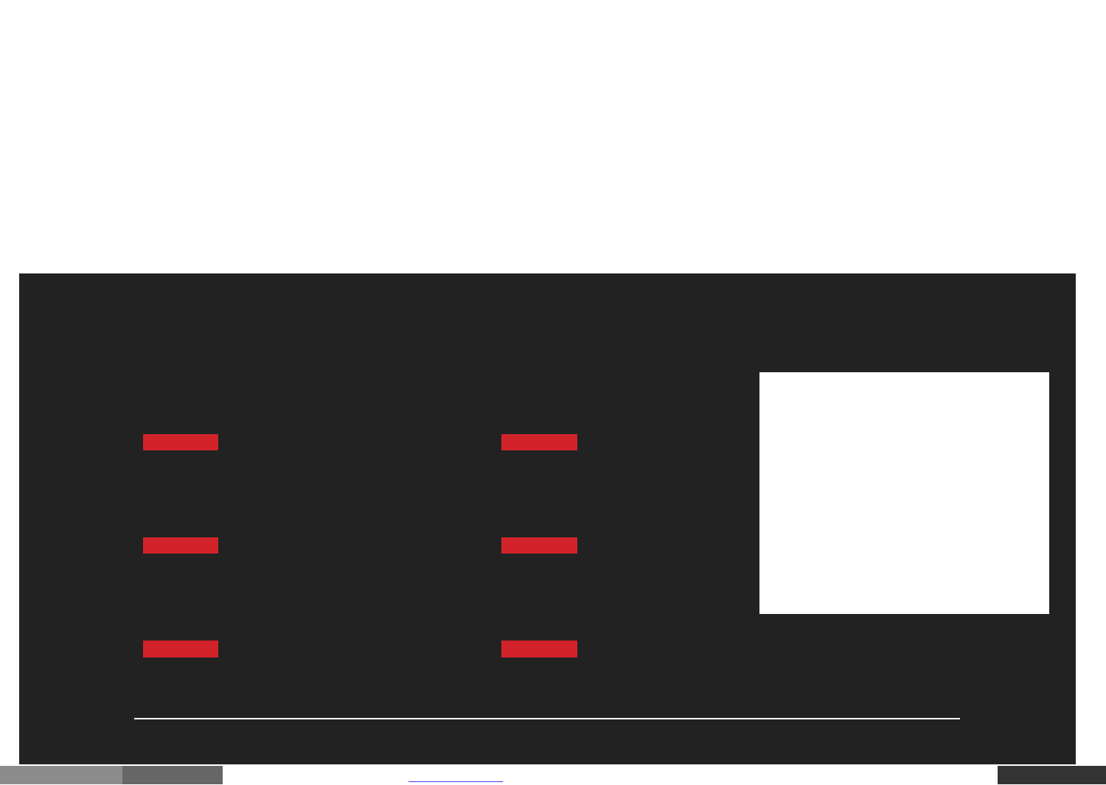#### 5%'.61&#..#4'&#<+10'

+P 2KGOQPVG WPC RGT KN EGPUKOGPV OQUEJGG G ETGC\K 3ULPD 3DJLQPDUH ID

".'GFKNK\KC TGUKFL RTQXKPEKC FK 0QX DGPGHKEK HKUECN

3ULPD 3DJLQPDUH ID

%QTUQ FK EQPVTCV KPVGTPC\KQPCNG ITCVWKVK EQP N'' 8 3ULPD 3DJLQROUH ID

#46+%1.+2121.#4+

5RCEEKQ FK FTQIC CTTGUVK FGK ECTC #TQPCG0QXCTC 3ULPD 3DJLQDRUQLID

+P ECUC WPC ECTV HCNUC G VTG GVVK CTTGUVCVQ GPPG 3ULPD 3DJLQDSULOH

2GTWXKCPK ENCPF( KP WP ECPVKGTG G FK0QXCTC 3ULPD 3DJLQDDJJLR

![](_page_18_Picture_9.jpeg)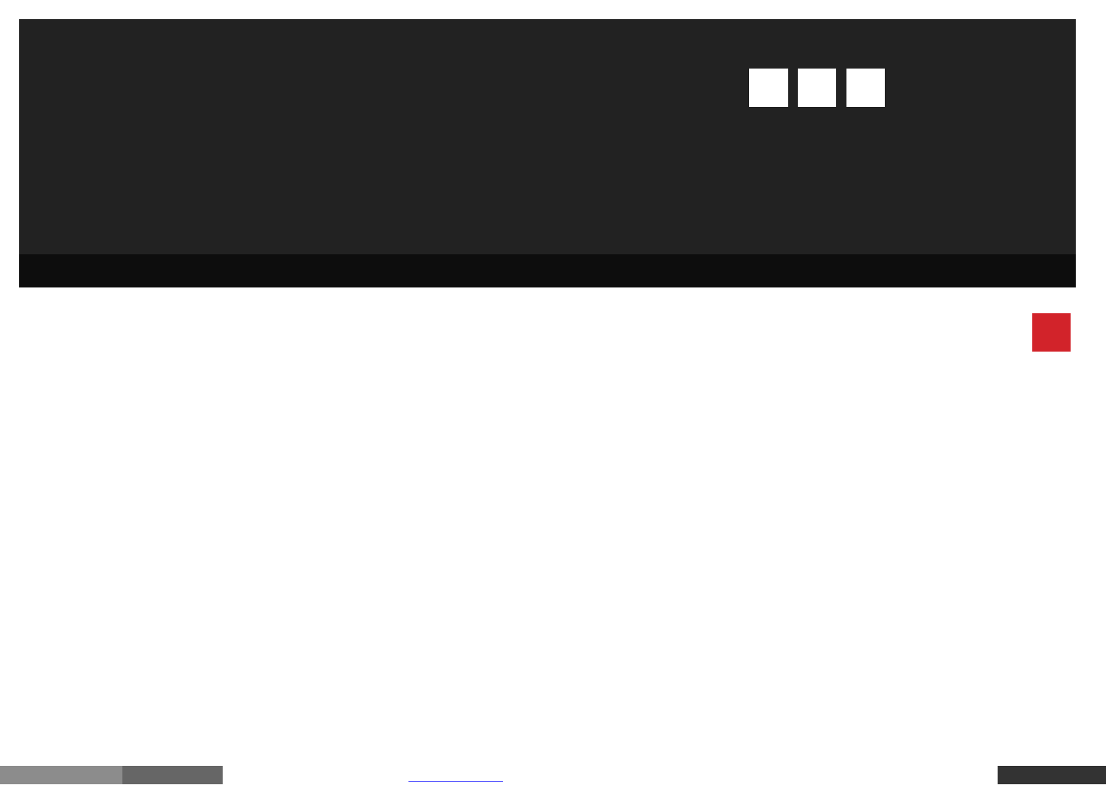![](_page_19_Figure_0.jpeg)

5')7+%+

![](_page_19_Figure_2.jpeg)

&RQWDWHWDFLRQH#QRYDUDLQGLUHWWD LW

 $\sqrt{6}$ YLOXSSR:HE 'HVLJQGL(QHVL 3DENTL) 3ULYDF\3R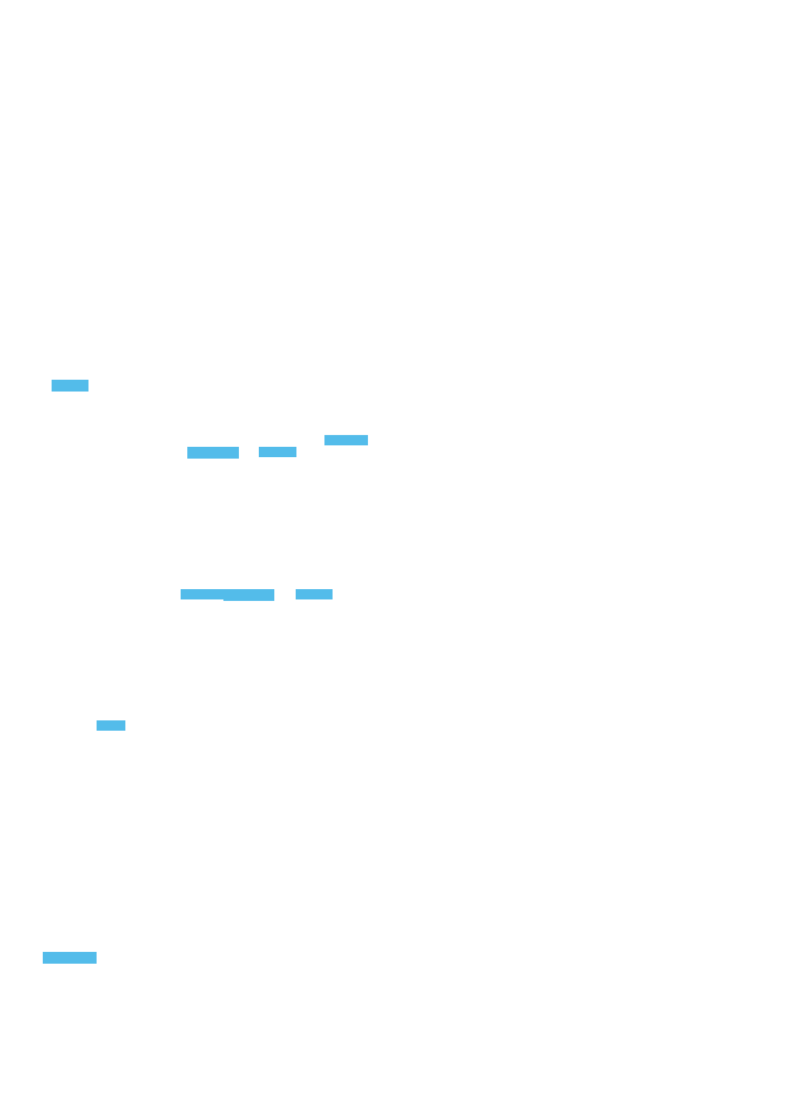# <span id="page-20-0"></span>T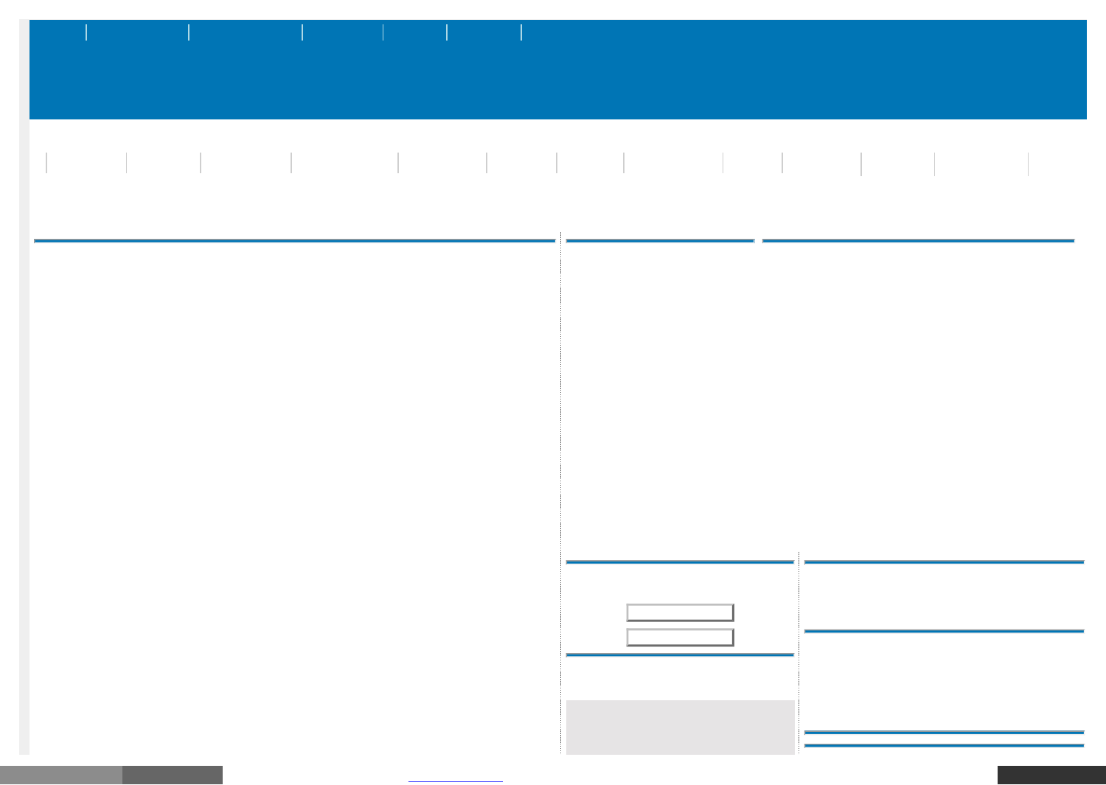WROOHOODWH GL ROL OXEULILFDOWL XVDWL UDFFROWH LQ 3URYLQFLD GL 1RYDUD QHO VX XQ WRWDOH GL WRQQHOODWH UHFXSHUDWH QHOOD 5HJLRQH 3LHPRQWH 6RQR L GDWL UHVL QRWL GDO &RQVRUILR 2EEOLJDWRULR GHJOL 2OL 8VDWL QHOOD FRQIHUHQ]D VWDPSD FKH VL q WHQXWD QHOO DPELWR GL &LUF2/, DPR OD FDPSDJQD HG2X\*F, DWLYD LWLQHUDQWH FKH SXQWD D VHQVLELOL||DUH O RSLOLROH SXEEQLFD  $/$ RJLQ  $\parallel$  W W R H OH DPPLQLVWUDILRQL ORFDOL \ VPDOWLPHQWR GHL OXEULILFDQW 5HJLVWU4XHVWD PDWWLQD L UDJD]]L GHOOH VEXROH KUQQK YLVLWDWR LO YLOODJJLR & LUF2/, DPR SDUWHFLSDQGR DJOL HGXFDWLRQDO ORUR GHGLFD $W(1, H)$  vilgdqgrvl D  $\frac{3}{4}$ \*UHHQ /HDJXH′ LO SURJHWWR FKH SUHYHGH XQ VLVWHPD GL JLRFKL RQOLQH ILQDOLIIDWL DOO HGXFDILRQH **DPELHQWDOH** 

## 86\$7. \$129\$5\$

&521\$&\$ (\$778\$/,7¬

 $$0\%$ , (17( 6&82/\$

.0 & 228 LVROH HFRORJLFKH VROXILRQH DO SUREOHPD GHL IDL GD WH

 $.1$  \$80(172 /\$ 5\$&&2/7\$ ', 2/, /8%5, \, &\$17,

3DROD \*DULIL

& URQD F3DROLW LIFBQRPL BRORQWD USIDEW TROWSHIXROBDOX W7HH FQROR SSERU WYXULV PSRXOW X6USDH W W D FRO

<span id="page-22-0"></span> $+20($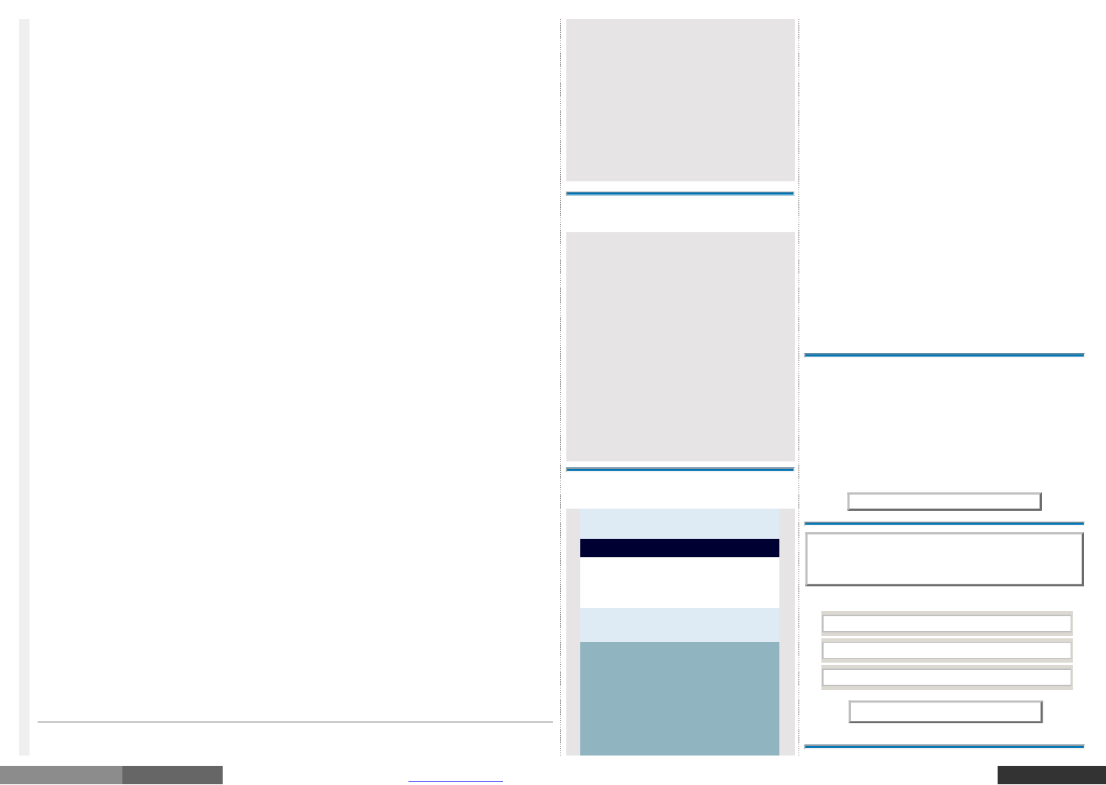![](_page_23_Figure_0.jpeg)

 $\mathcal{O}(\mathcal{O}_\mathcal{C})$  and  $\mathcal{O}(\mathcal{O}_\mathcal{C})$ 

&RQGLYLGL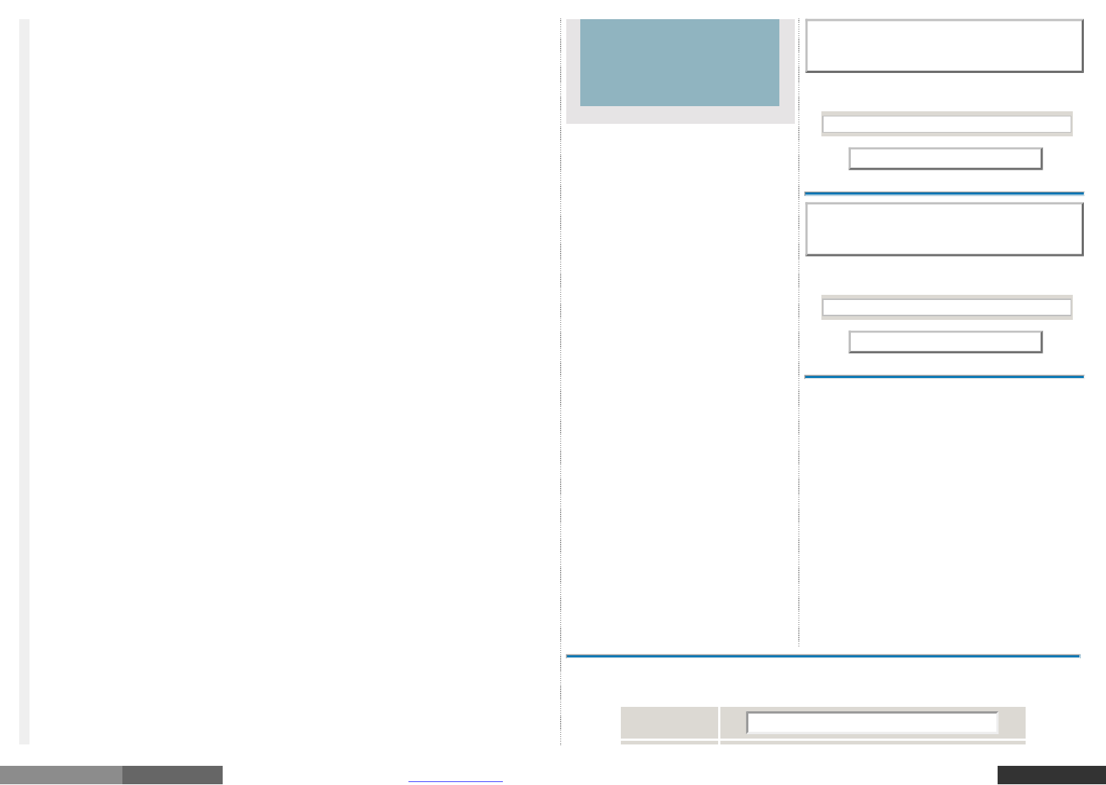| $\begin{array}{c c}\n\hline\nf & 8 \\ 3 & 4 & 5 \\ \hline\n\end{array}$<br>$9 H Q W R$<br><b>3UHYLVLRQL OHWH</b> | &HUFD L FRPXQL GHOOH SUR<br><b>3URYLQFLD</b><br>&HUFD                 |
|------------------------------------------------------------------------------------------------------------------|-----------------------------------------------------------------------|
|                                                                                                                  | &HUFD OH ELEOLRWHFKH<br><b>3URYLQFLD</b><br>&HUFD<br>3LHPRQWH3UHVV WL |
|                                                                                                                  |                                                                       |
| 5, & (5&\$ & 2081, & \$7,<br><b>7LWROR</b>                                                                       |                                                                       |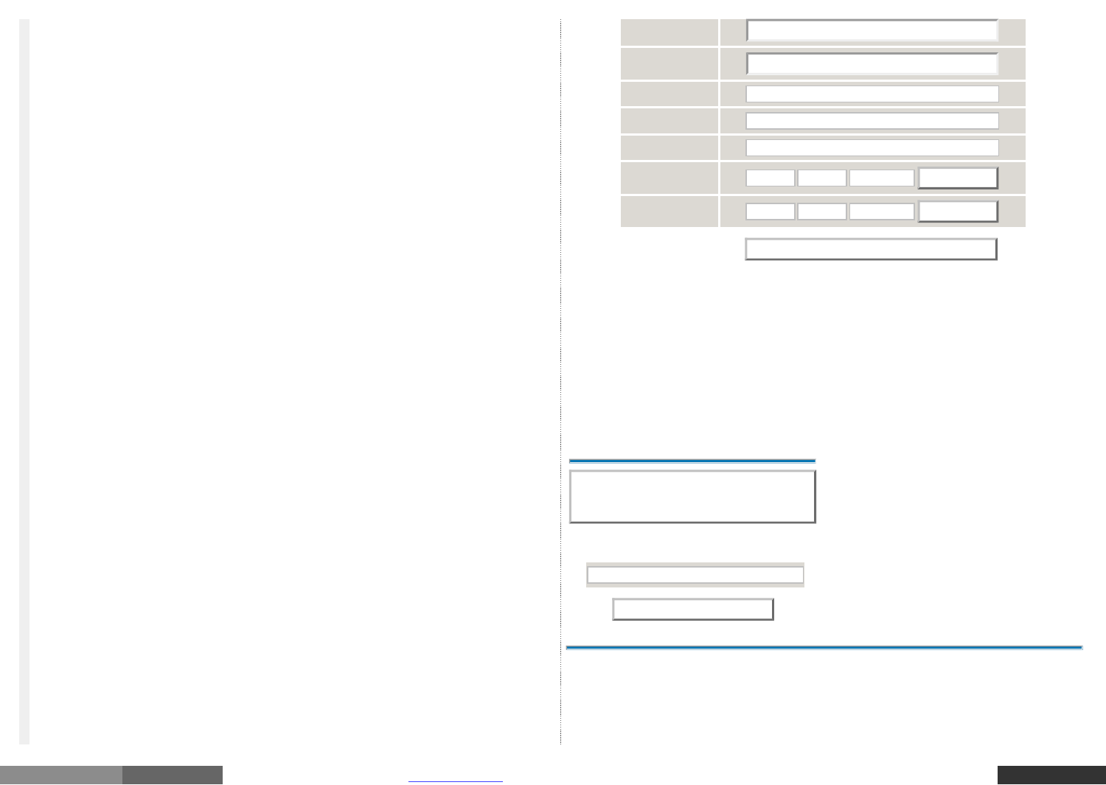| 7HVWR                         |       |         |
|-------------------------------|-------|---------|
| <b>3URPRWRU</b>               |       |         |
| \$UJRPHQW 7XWWL               |       |         |
| <b>3URYLQFL7XWWH</b>          |       |         |
| &RPXQH 7XWWL                  |       |         |
| 'DWD LQL]                     |       | 2 J J L |
| 'DWD ILQI                     |       | & 0     |
|                               | &HUFD |         |
|                               |       |         |
|                               |       |         |
|                               |       |         |
|                               |       |         |
|                               |       |         |
|                               |       |         |
|                               |       |         |
|                               |       |         |
|                               |       |         |
| &HUFD OH FDQWLQH GHO 3LHPRQWH |       |         |
| <b>3URYLQFLD</b>              |       |         |
| & H U F D                     |       |         |
|                               |       |         |
| 0 (', \$ 3\$571 (5            |       |         |
|                               |       |         |
|                               |       |         |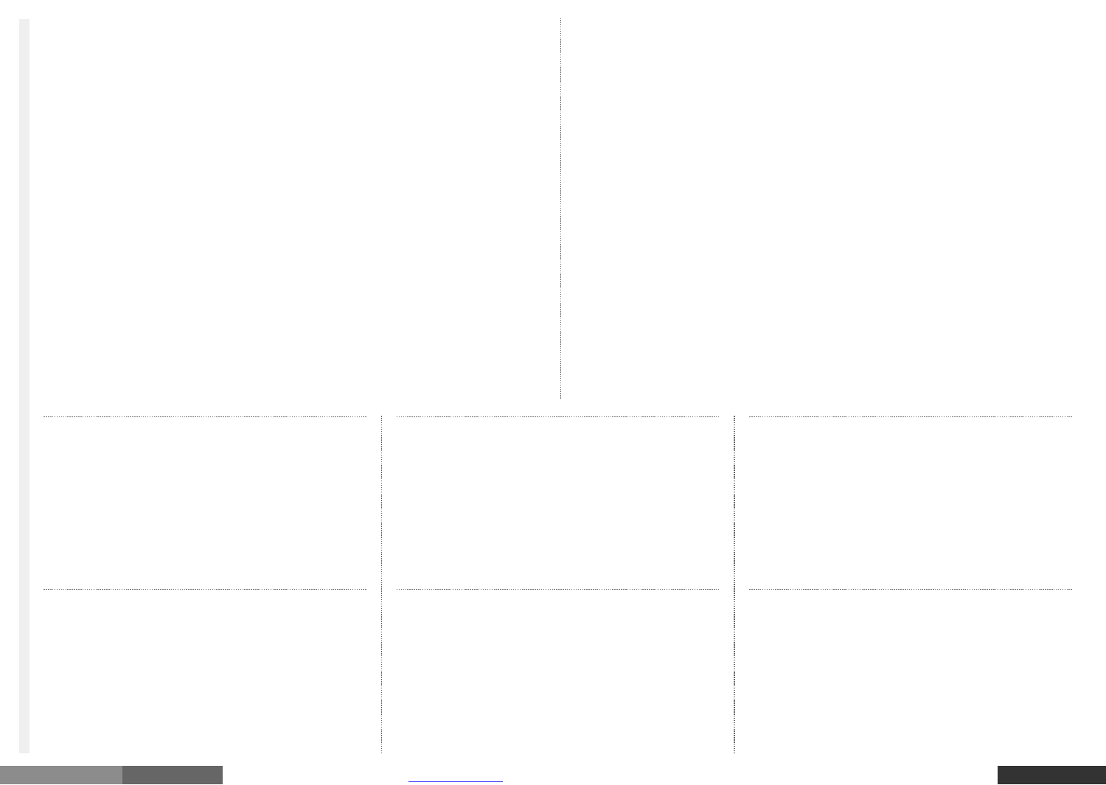| & 521\$&\$                                                                         | $32/7, 7, 8$ \$                                                                                                                                                                                                                                            | (82120, \$                                                                                             |
|------------------------------------------------------------------------------------|------------------------------------------------------------------------------------------------------------------------------------------------------------------------------------------------------------------------------------------------------------|--------------------------------------------------------------------------------------------------------|
|                                                                                    | ,1 \$80(172 /\$ 5\$&&2/7\$ ', 2/, /8%5,),&\$1?, 8 <b>0\$7(</b> 17,1\$ &\$3872 <sup>3</sup> ',5,772 '(//\$ '211\$ /\$ 3\$5,2 +27(/ 7251(5¬ \$ (66(5( / \$/%(5*2 5,9                                                                                         |                                                                                                        |
| \$129\$5\$                                                                         |                                                                                                                                                                                                                                                            | 6, \$ 3\$57( \$77,9\$ 1(/ 3527(**(5(' $\qquad \qquad$ /\$ &\$6( +,6725< 48(5&(77, \$/ &,&/2 ', &2)     |
|                                                                                    | ,1 \$80(172 /\$ 5\$&&2/7\$ ', 2/, /8%5,),&\$1 <sup>1</sup> 7, 8 <b>&amp;\$6</b> 2 67\$0,1\$ &20(787(/\$56, 5,92/*(1'26, 35,6256(80\$1((121 80\$1('                                                                                                         |                                                                                                        |
| \$9(5&(1),                                                                         | $\frac{1}{2}$ // 81,21( 1\$ = ,21\$ /( 821680\$ 725, '(/ 3, (0217 678',2 '(17, 67, 82 '(17\$ / (//(52, 1 = 21\$)                                                                                                                                           |                                                                                                        |
|                                                                                    | *5\$1', 5,68/7\$7, 63257,9, (7\$17, \$33817;\$0(1072\$26,7\$)1(/ & 21'20,1,2)'(%,7, (5(& 83(5)2)/1*2772\$725,12                                                                                                                                            |                                                                                                        |
| $$1/2$ 63257,1* & /8% 0217(526\$ 129\$5\$                                          | & 5 (', 7, \$63 (77, *, 85, ', &, (), 6& \$/,                                                                                                                                                                                                              |                                                                                                        |
| $$0\%$ , (17(                                                                      | 785,602                                                                                                                                                                                                                                                    | 6\$/87(                                                                                                |
| $5(67\$7($ \$77,9, \$55,9\$ / (',=,21(                                             | $8\$ 17, 1 ( $\$$ 3 (5 7 (                                                                                                                                                                                                                                 | $3,(0217)$ 9(17, & , 148(6, 0\$ 18292 63257(//2 35(127\$ = , 21( \$1\$/, 6, ( \state of )              |
| $8,77\$ , $*$ , $\$$ 9(12 ( / $\$$ 8200, 66, 21( 5, ), 87, $=$ (5 $\ell$ , = , 21( |                                                                                                                                                                                                                                                            | $63(8, 5/0.67, 8 + (9.777, 15518(6,$                                                                   |
|                                                                                    | / $\frac{1}{2}$ / 9 ( $\frac{1}{2}$ 6 & + (', & (6 Î $\frac{1}{2}$ 35 (81 18292 $\frac{1}{2}$ / 9 ( $\frac{1}{2}$ 5 $\frac{1}{2}$ $\frac{1}{2}$ / (', 1, 72 , / 352*5 $\frac{1}{2}$ 00 $\frac{1}{2}$ '(// $\frac{1}{2}$ 6 $\frac{1}{2}$ *5 $\frac{1}{2}$ ) | $,03257\$ 17 ( $\& 21$ ) (5 (1 = $\$ 25 $\degree$ \$ 1 , = = $\frac{6}{3}7\$ $\degree$ ' $\degree$ / , |
| 725,12                                                                             | '(1/2)(15)                                                                                                                                                                                                                                                 | $8/8\%$ 5\$ & & 21, $*$ , ( /, 216 & /8% 6 & \$ 51\$), $*$ ,                                           |
|                                                                                    | $/81\$ $7 + .8\$ 63(77\\$\Sequal 2)2 $/2$ $/$ $/$ $*$ 58332.                                                                                                                                                                                               | 9 \$ 5 \$ . 7 \$                                                                                       |
|                                                                                    | $/$ , 5, & 2 $/$ \$ %, 5, 17,                                                                                                                                                                                                                              | $&255\$ '2 $&$03,6$ , $3*8\$ 5,5('\$//,1)('(0\$" 2                                                     |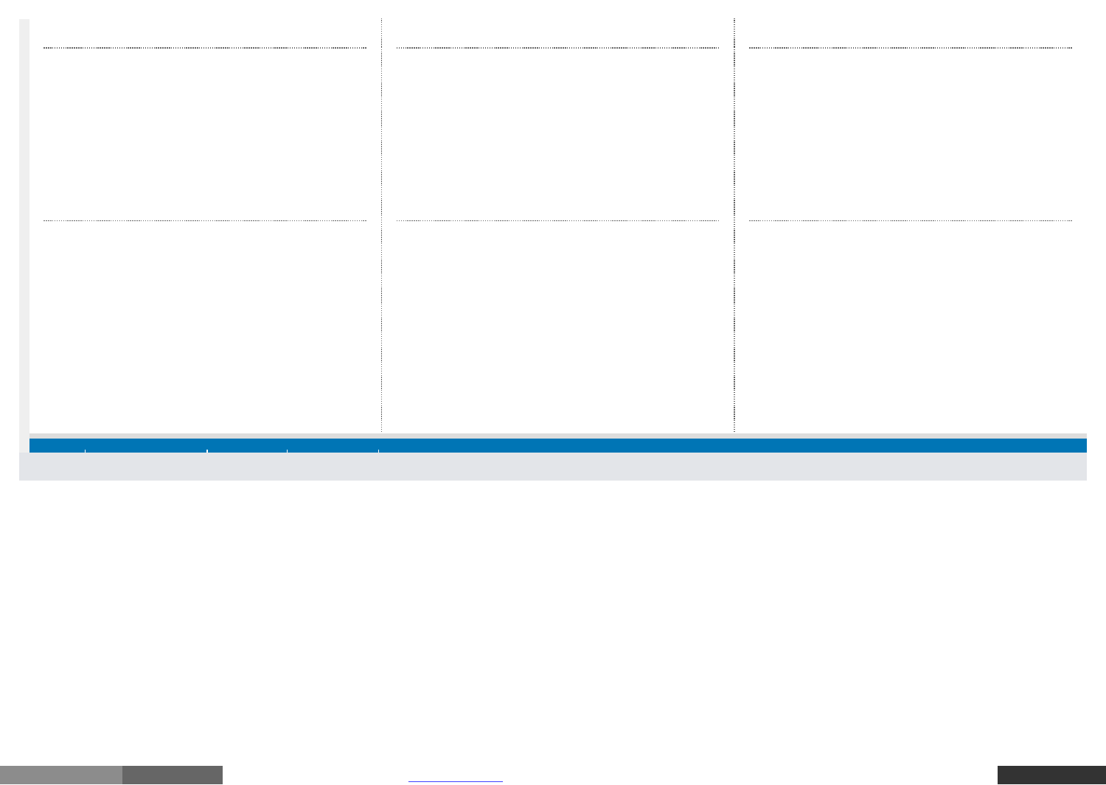|                                                                                                                                                                                                                                                                                                             |                                                                                                                                                                                                                                                                                                                                                                                                                                                                                                               | $3266, \%$ , /(                                                                                                                                                                                                                                                                                                                                                                                                                                                            |
|-------------------------------------------------------------------------------------------------------------------------------------------------------------------------------------------------------------------------------------------------------------------------------------------------------------|---------------------------------------------------------------------------------------------------------------------------------------------------------------------------------------------------------------------------------------------------------------------------------------------------------------------------------------------------------------------------------------------------------------------------------------------------------------------------------------------------------------|----------------------------------------------------------------------------------------------------------------------------------------------------------------------------------------------------------------------------------------------------------------------------------------------------------------------------------------------------------------------------------------------------------------------------------------------------------------------------|
| $63(77$ \$ & 2/,                                                                                                                                                                                                                                                                                            | & 8/785\$                                                                                                                                                                                                                                                                                                                                                                                                                                                                                                     | $7(812/2, $ \$                                                                                                                                                                                                                                                                                                                                                                                                                                                             |
| 9,7721(<br>*/, $\frac{6}{3}$ /811, '(//( 6&82/( 35,0\$5,( ', 5,9\$/7\$<br>8\$17\$12 \$// \$8',725,80<br>$/81\$ $7 + .8\$ 63(77\\$\ & 2/2 '( $/$ *58332<br>$\%$ , / $\%$ 2 $\%$ \$ 662                                                                                                                       | $5\#$ , 1 % 2: ) 25 \$ ) 5, & \$<br>$\langle 1, \frac{9}{5}, \frac{5}{5}, \frac{6}{5}, \frac{3}{5}, \frac{6}{5}, \frac{6}{5}, \frac{6}{5}, \frac{7}{5}, \frac{8}{5}, \frac{1}{2}, \frac{2}{5}, \frac{1}{2}, \frac{1}{2}, \frac{1}{2}, \frac{1}{2}, \frac{1}{2}, \frac{1}{2}, \frac{1}{2}, \frac{1}{2}, \frac{1}{2}, \frac{1}{2}, \frac{1}{2}, \frac{1}{2}, \frac{1}{2}, \frac{1}{2}, \frac{1}{2}, \frac{1}{2}, \frac{1}{2}, \frac{1}{2}, \frac{1}{2}, \frac{1}{$<br>$$/$ ; 9 $*5\$1$ 35(0,2 &, 77\$, 6\$921\$ | ,7\$/,\$ '21\$7, 0\$(675\$ 6&5,772 '\$ &/\$&?',2 \$ 021&\$/,(5, 086,&\$ ()272*5\$),\$ ,16,(0( $\frac{1}{3}$ (5 1\$6&( / (',=,21( 0,/\$1(6( '(//\$ 63\$&(\$336<br>$,17(51\$ $7,21\$ $/$ $\& +\$ $/$ $/$ $(1^*$ $(3520266\)$ $\%$ $/$ $/$ $\$$ 1<br>7877, \$//(*5, & 21 0\$10 (67\$7(%,0%, \$/{\$7+(& 26026% 6(59(5 0(',\$3\$571(5', 63\$& (<br>$0\,$ \$66,02 3\$5\$&&&,,\$,**,8',&\$,/7(5=2 32672 */,\$'2/(6&(17,(/\$ 5(7( 6(0,1\$5,2 \$ &+,(<br>$35202662$ '\$ & +, (B5(7( |
| $92/217$ \$5, \$72                                                                                                                                                                                                                                                                                          | 63257                                                                                                                                                                                                                                                                                                                                                                                                                                                                                                         | 6&82/\$                                                                                                                                                                                                                                                                                                                                                                                                                                                                    |
| $(0\$ $*$ , $2\,725,12\,820(02170\$ \$575 $($<br>$&257,$ /('(/ 0\$*/,2,1 & 251,&(<br>$258 +$ , $(\frac{6}{5} 81, 8)$ , $(1\frac{1}{5} 02675\frac{1}{5} 0.2675\frac{1}{5} 0.816\frac{1}{5}$ (7\; 17,66,0(0('\;\cdots'',\;<br>021)(55\$72<br>7877, ,1 & \$ 032 & 21 , / 352 * (772 *, 29 \$ 1, , 17 (* 5 & 72 | 081'\$1&+(48(67\$92/7\$+\$112 &2148,67\$72 6&82/\$,7\$/2 &\$/9,12<br>$f$ 3('\$/\$1*+( *\$5\$', 07% & 266\$12 % $i$ /%2/,%5(5,\$<br>7:,5/,1*6 & 5,67,1\$ & \$03,21(66(1\$=,21\$ $\frac{1}{2}$ , /(/,%5(5,\$ 3(5 5\$*\$==, )2*2/\$ -81,25                                                                                                                                                                                                                                                                       | 8/7,0\$ 3529\$ 3(5 /( *,29\$1,66,0( '(/ <sup>3</sup> 7:,5 <sup>;</sup> / )2\$31 085\$/(6 ', ('8\$5'2 <sup>3</sup> 0212´ &\$55\$6&2 \$/<br>81 &, 21'2/2 3(5 / \$ 0\$ 00\$ 6+5, 1.3/\$67, &<br>$/(7785($ \$1,0\$7( 2772 5\$*\$ = =, ( 6725,(                                                                                                                                                                                                                                 |
|                                                                                                                                                                                                                                                                                                             | $$7/(7(^*58332 \ 6(1,25 \ 8+(^*4.2148,67\ 12 \ 7252))$<br>$*, 251\$ $7\$ ( $, / 7, 72/2, 7\$ $, 7\$ $12$                                                                                                                                                                                                                                                                                                                                                                                                      |                                                                                                                                                                                                                                                                                                                                                                                                                                                                            |

 $\frac{1}{2} \frac{1}{2} \frac{1}{2} \frac{1}{2} \frac{1}{2} \frac{1}{2} \frac{1}{2} \frac{1}{2} \frac{1}{2} \frac{1}{2} \frac{1}{2} \frac{1}{2} \frac{1}{2} \frac{1}{2} \frac{1}{2} \frac{1}{2} \frac{1}{2} \frac{1}{2} \frac{1}{2} \frac{1}{2} \frac{1}{2} \frac{1}{2} \frac{1}{2} \frac{1}{2} \frac{1}{2} \frac{1}{2} \frac{1}{2} \frac{1}{2} \frac{1}{2} \frac{1}{2} \frac{1}{2} \frac{$ 

& OLFFDQ GR TXDOVLDVL OLQN VX TXHVWD SDJLQD PVDLJDLXRWURULLOND REMALLEROZHLING/HVDJR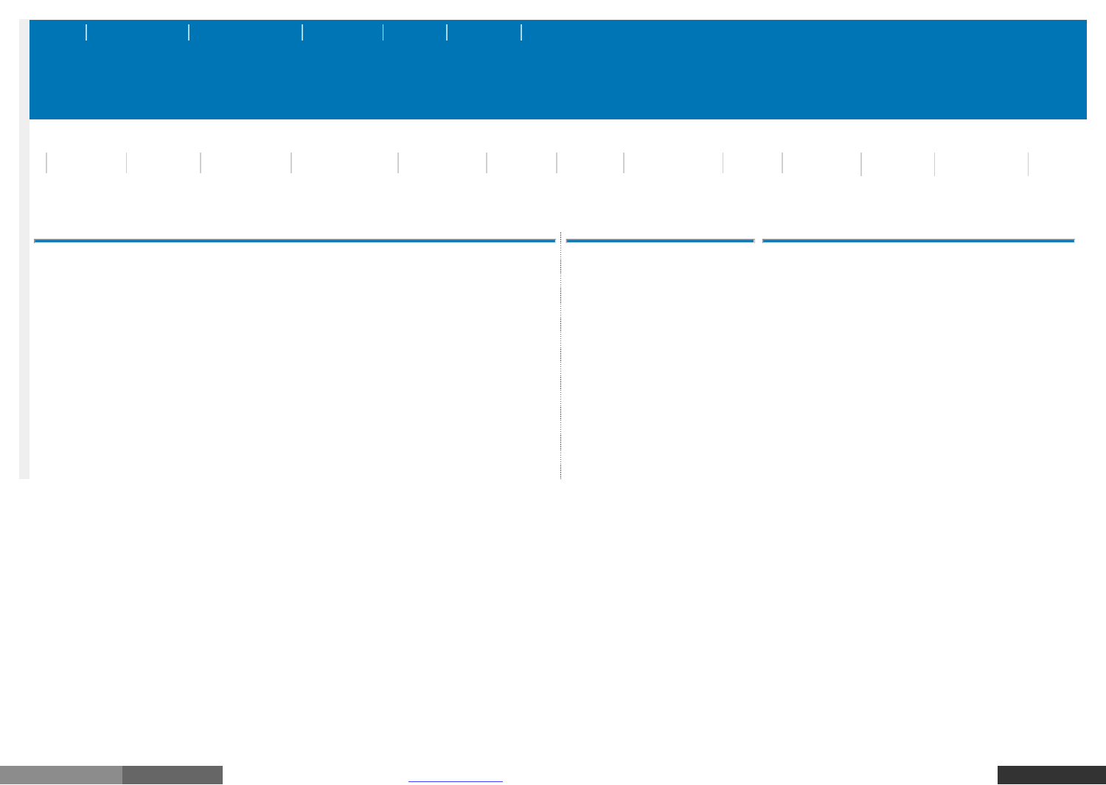<span id="page-28-0"></span> $+20($ 

& U R Q D F DR O L W L (F B Q R P L B R O R Q W D USE E W FR Q W G HF X R O B D O X W 7HH F Q R O R SISTR  $\psi$  W X U L V P SRX O W X 6USDH W W D F R O

8521\$&\$ (\$778\$/,7¬  $$0\%$ , (17( 6&82/\$

3DROD \*DULIL

#### $, 1$  \$80(172 /\$ 5\$&&2/7\$ ', 2/, /8%5, ),&\$17,  $86$7, $9(5& (//$

, O & 228 LVROH HFRORJLFKH VROX]LRQH DO SUREOHPD GHL IDL GD WH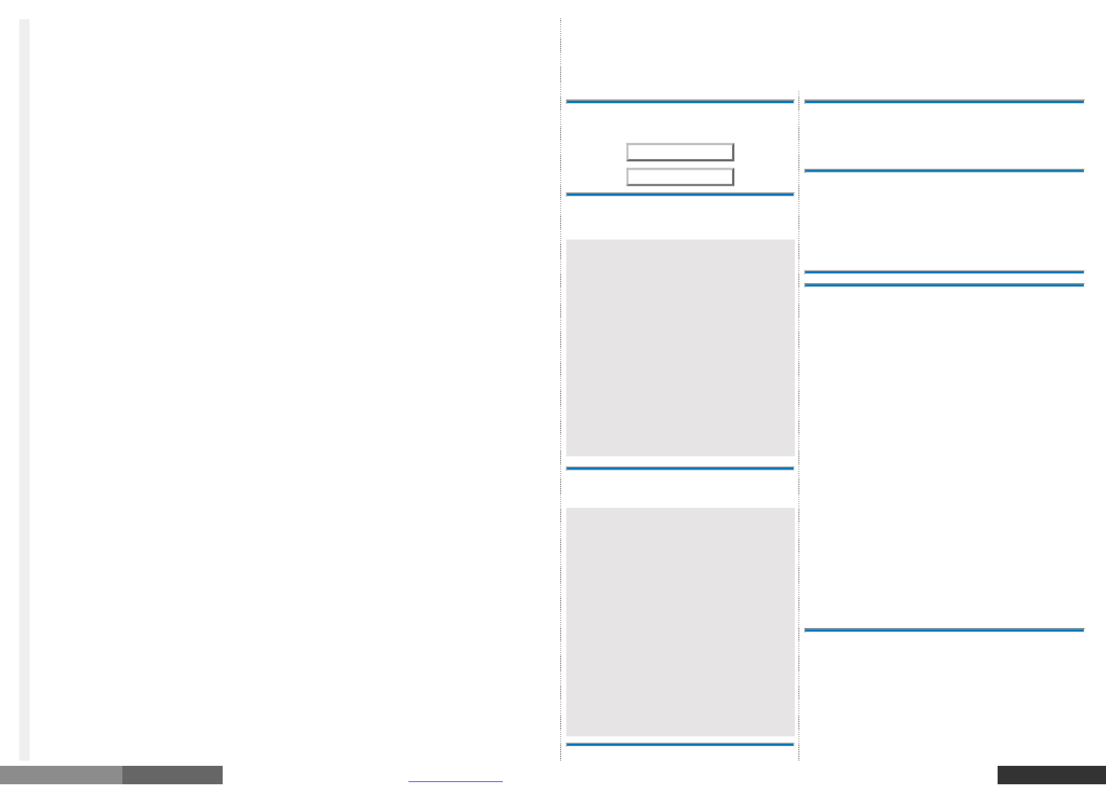![](_page_29_Figure_0.jpeg)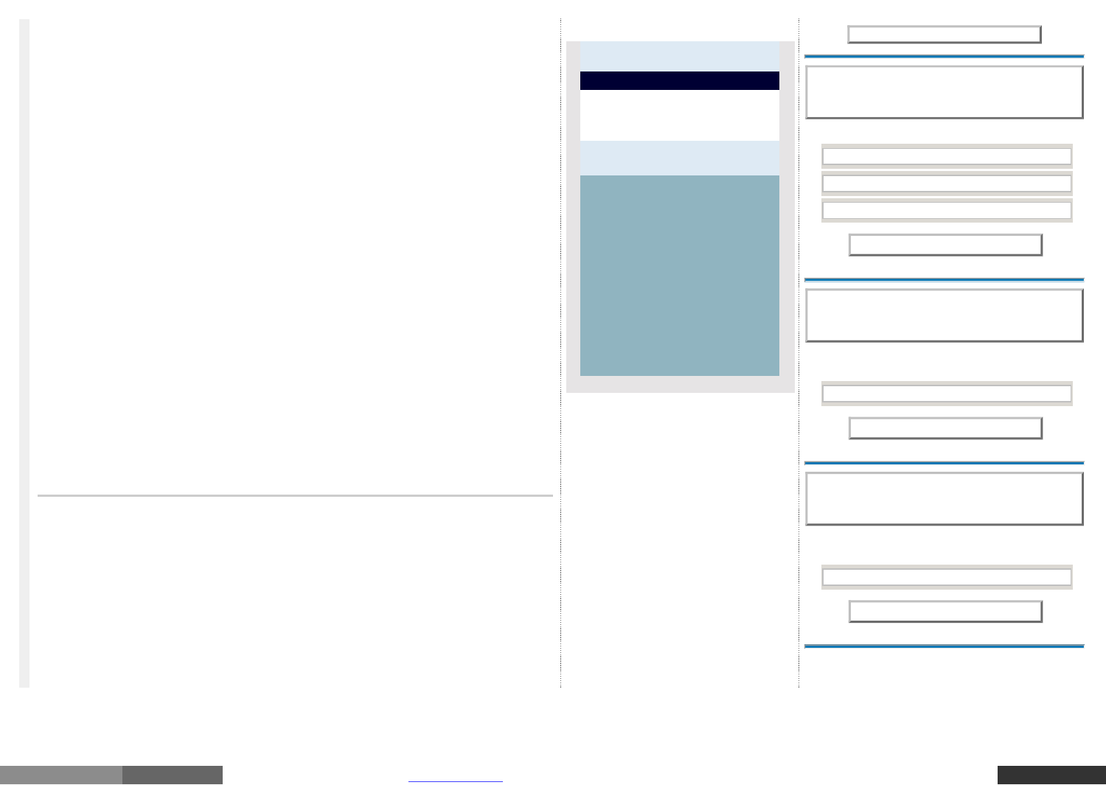![](_page_30_Figure_0.jpeg)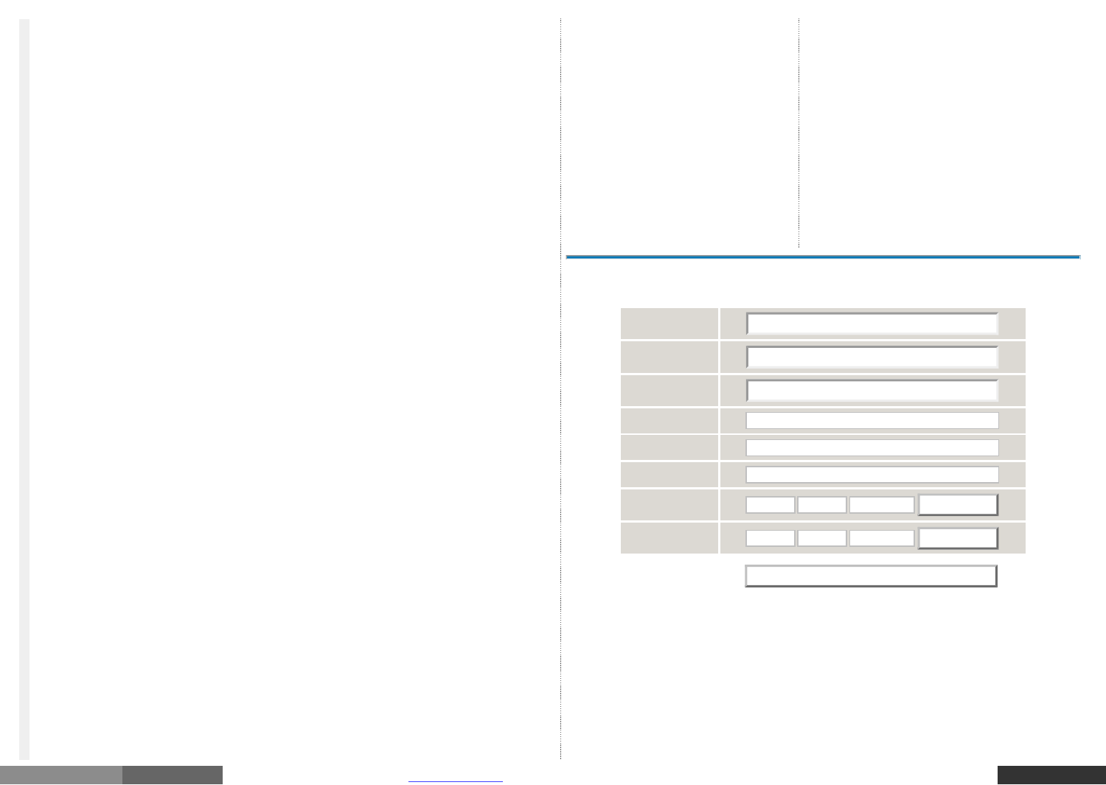#### $5, 8 (5 8 $ 8 2 0 8 1, 8 $ 7 ,$

| <b>7LWROR</b>         |        |
|-----------------------|--------|
| 7HVWR                 |        |
| <b>3URPRWRU</b>       |        |
| <b>\$UJRPHQW7XWWL</b> |        |
| <b>3URYLQFL7XWWH</b>  |        |
| &RPXQH 7XWWL          |        |
| 'DWD LQL]             | 2JJL   |
| 'DWD ILQI             | & 0    |
|                       | & HUFD |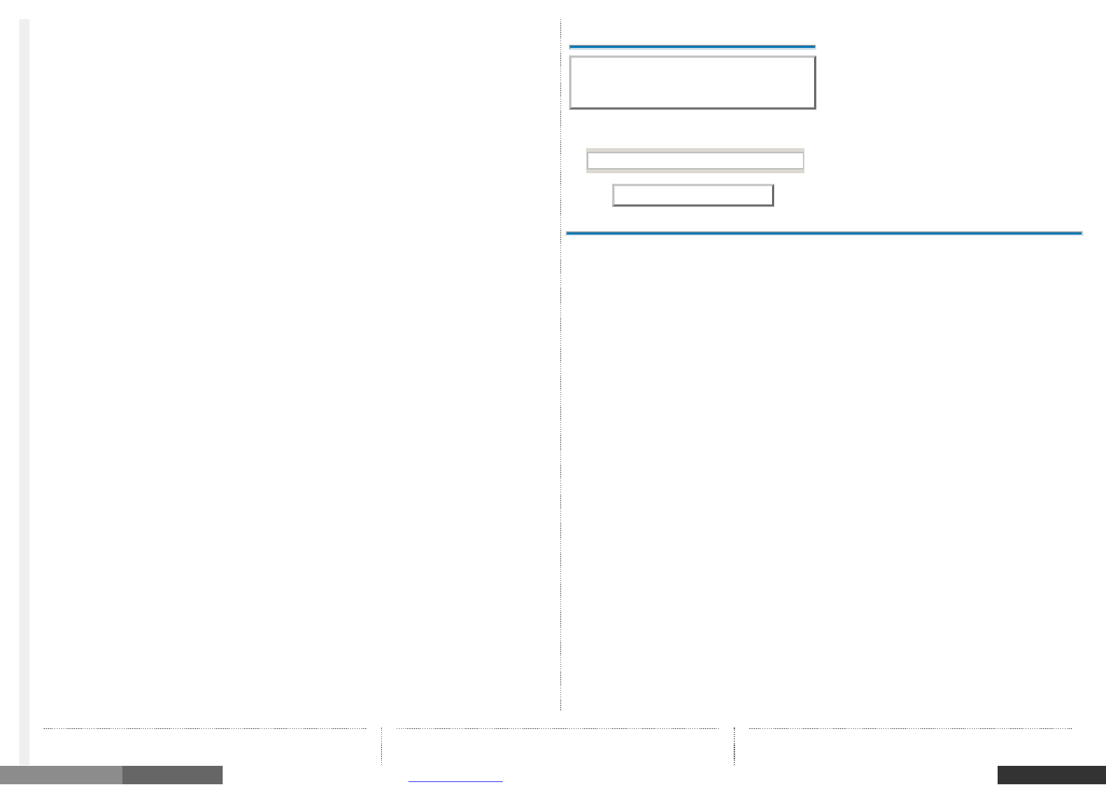#### &HUFD OH FDQWLQH GHO 3LHPRQWH

**3URYLQFLD** 

 $8 HUFD$ 

#### $0 (', $ 3 $5 7 1 (5$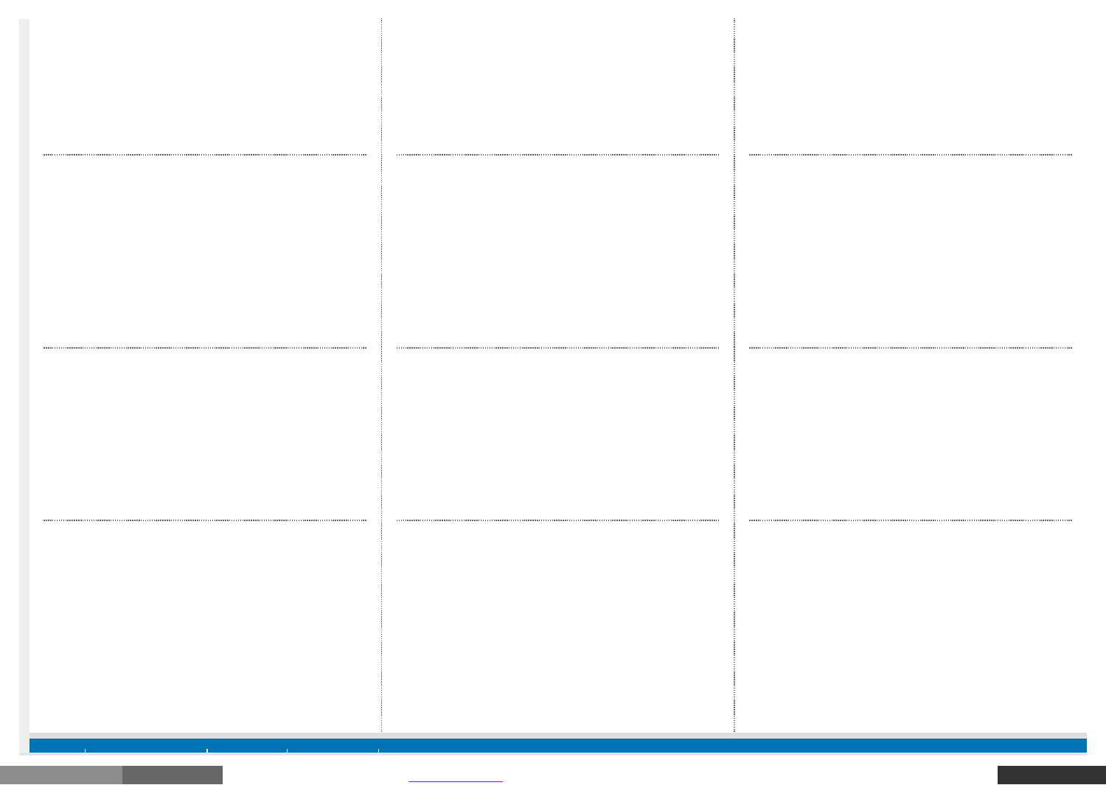| \$129\$5\$<br>\$9(5&(1),<br>$\frac{1}{2}$ //2 63257,1* & /8% 0217(526\$ 129\$5\$ $\frac{1}{2}$ & 5(',7, \$63(77, *,85,',&, (),6&\$/,                                                                                                                                                                                           | ,1 \$80(172 /\$ 5\$&&2/7\$ ', 2/, /8%5,),&\$1?, 8 <b>0\$7(</b> 17,1\$ &\$3872 <sup>3</sup> ',5,772 '(//\$ '211\$ /\$ 3\$5,2 +27(/ 7251(5¬ \$ (66(5( / \$/%(5*2 5,9<br>,1 \$80(172 /\$ 5\$&&2/7\$ ', 2/, /8%5,),&\$1?, 8&\$62 67\$0,1\$ &20(787(/\$56, 5,92/*(1'26, 35,6256(80\$1((121 80\$1(´<br>$$1/81,21(1$ = .21$)/(821680$725, '(13.(0217678),2 '(17,67,82 '(17$)//(162,1 = 21$)$<br>*5\$1', 5,68/7\$7, 63257,9, (7\$17, \$33817;\$0(1072\526,7\$)1(/821'20,1,2)'(%,7, (5(&83(5)2)/1*2772\$725,12 | 6, \$ 3\$57( \$77, 9\$ 1(/ 3527(**(5( $\frac{3527}{100}$ ) $\frac{1}{35}$ 8\$6( +, 6725< 48(58(77, \$/ 8, 8/2 ', 82)                                                                                                                                                                                                                                                                                      |
|--------------------------------------------------------------------------------------------------------------------------------------------------------------------------------------------------------------------------------------------------------------------------------------------------------------------------------|-------------------------------------------------------------------------------------------------------------------------------------------------------------------------------------------------------------------------------------------------------------------------------------------------------------------------------------------------------------------------------------------------------------------------------------------------------------------------------------------------------|-----------------------------------------------------------------------------------------------------------------------------------------------------------------------------------------------------------------------------------------------------------------------------------------------------------------------------------------------------------------------------------------------------------|
| $$0\%$ , (17(<br>$8,77\$ ', $*$ , $9(12$ ( / $3$ $8200,66,21(5)$ , $87$ , $= (5\ell,=21)$<br>725,12                                                                                                                                                                                                                            | 785,602<br>5 (67\$7( \$77,9, \$55,9\$ / (',=,21( $\qquad \qquad \qquad$ 8\$17,1( \$3(57( 3,(0217( 9(17,8,148(6,0\$ 18292 63257(//2 35(127\$=,21( \$1\$/,6, ( 9))<br>/ 5/9(\$5( &+(',&( 6Î \$35( 81 18292 \$/9(\$5( \$ 12/( '(),1,72 ,/ 352*5\$00\$ '(//\$ 6\$*5\$!,03257\$17( &21)(5(1=\$ 25*\$1,==\$7\$ '\$/<br>'(1/2)(15)<br>$/81\$ $7 + .8\$ 63(77\\$\Sepsilonglarity 10 $/81\$ 58332.<br>$/$ , 5, & 2 $/$ \$ %, 5, 17,                                                                            | 6\$/87(<br>$63(8, \$/, 67, 8 + ($ \,\$ 7(77, )5\\$1\\$3(6,<br>$8/8\%$ 5\$ $8.821$ , $*($ /, 216 $8/8\%$ 68\$ 51\$), $*($<br>9\$5\$,7\$<br>$&255\$ '2 $&$03,6$ , $3*8\$ 5,5('\$//,1)('(0\$" 2<br>$3266, %$ , $/$ ( $'$                                                                                                                                                                                     |
| $63(77\$ \$ $82/$ ,<br>9,7721(<br>*/, $\frac{6}{3}$ /811, '(//( 6&82/( 35,0\$5,( ', 5,9\$/7\$<br>& \$17\$12 \$// \$8', 725, 80<br>$/81\$ 7 + , & \; 63(77\\$ & 2/2 '(/ * 58332<br>$\%$ , / $\%$ 2 $\%$ \$ 662                                                                                                                  | &8/785\$<br>,7\$/,\$ '21\$7, 0\$(675\$ 6&5,772 '\$ &/\$&?;2 \$ 021&\$/,(5, 086,&\$ ()272*5\$),\$ ,16,(0( $\frac{1}{3}$ (5 1\$6&(/(',=,21(0,/\$1(6('(//\$ 63\$&(\$336<br>$5#,1\%2:$ ) 25 \$ ) 5, & \$<br>$1, %5(5, $3(5.5$*) = , )2 * 2/$ -81,25$<br>$$/$ ; 9 * 5\$1 35(0,2 &, 77\$, 6\$921\$                                                                                                                                                                                                          | $7(812/2*,$<br>$,17(51\$ $7,21\$ $/$ $\&+$ $\frac{6}{1}$ $/$ $(1*(3520266\)$ $\frac{6}{1}$ $\frac{6}{1}$ $/$<br>7877, \$//(*5, &21 0\$1Ö (67\$7( %,0%, \$/{\$7+(&26026%6(59(5 0(',\$3\$571(5', 63\$&(<br>$,17(51\$ $7,21\$ $/$ $\&+$ $\frac{6}{7}(1*(0)/$ $12$<br>$0\$ 66,02 3\\$5\\$&&G+,,1\\$,**,8',&\\$ ,/ 7(5=2 32672 */, \\$'2/(6&(17, (/\$ 5(7( 6(0,1\\$5,2 \\$ &+,(<br>$35202662$ '\$ & +, (B 5(7( |
| $92/217$ \$5, \$72<br>$(0\$ $*$ , $2\ 725, 12\ 820(02170\$ \$575(<br>$&257, / ( '(0 \$ ^{*} / 0 \ ^{*} / 0.2 , 1 $&251, \&($<br>$258 +$ , $($ \$ 81, $8()$ , $1\%$ $1\%$ 02675\$ \$ $8\%$ 6\$ $/$ (7\$17, 66, 0 (0 $($ \cdots * $/$ , (<br>$021)(55\$72$<br>7877, ,1 & \$ 032 & 21 , / 352 * (772 *, 29 \$ 1, , 17 ( * 5 \$ 72 | 63257<br>)81'\$1&+(48(67\$92/7\$+\$112 &2148,67\$72 6&82/\$,7\$/2 &\$/9,12<br>$f$ 3('\$/\$1*+( *\$5\$', 07% &266\$12 % $(1\%2/0.065, 5\%1)$<br>7:,5/,1*6 & 5,67,1\$ & \$03,21(66(1\$=,21\$ $\frac{1}{2}$ , /(/,%5(5,\$ 3(5 5\$*\$==, )2*2/\$ -81,25<br>$$7/(7(^*58332 \ 6(1,25 \ 8+(^*32148,67\ 12 \ 7252))$<br>$*, 251\$7\$$ ( , / 7, 72 / 2, 7\$ /, \$12                                                                                                                                            | 6&82/\$<br>$8/7,0$ \$ 3529\$ 3(5 /(*,29\$1,66,0('(/*7:,5; )2\$1 085\$/(6 ', ('8\$5'2 $30212$ ' &\$55\$6&2 \$/<br>81 &, 21'2/2 3(5 / \$ 0\$00\$ 6+5, 1.3/\$67, &<br>$/(7785)($ \$1,0\$7( 2772 5\$*\$ = =, ( 6725,(                                                                                                                                                                                         |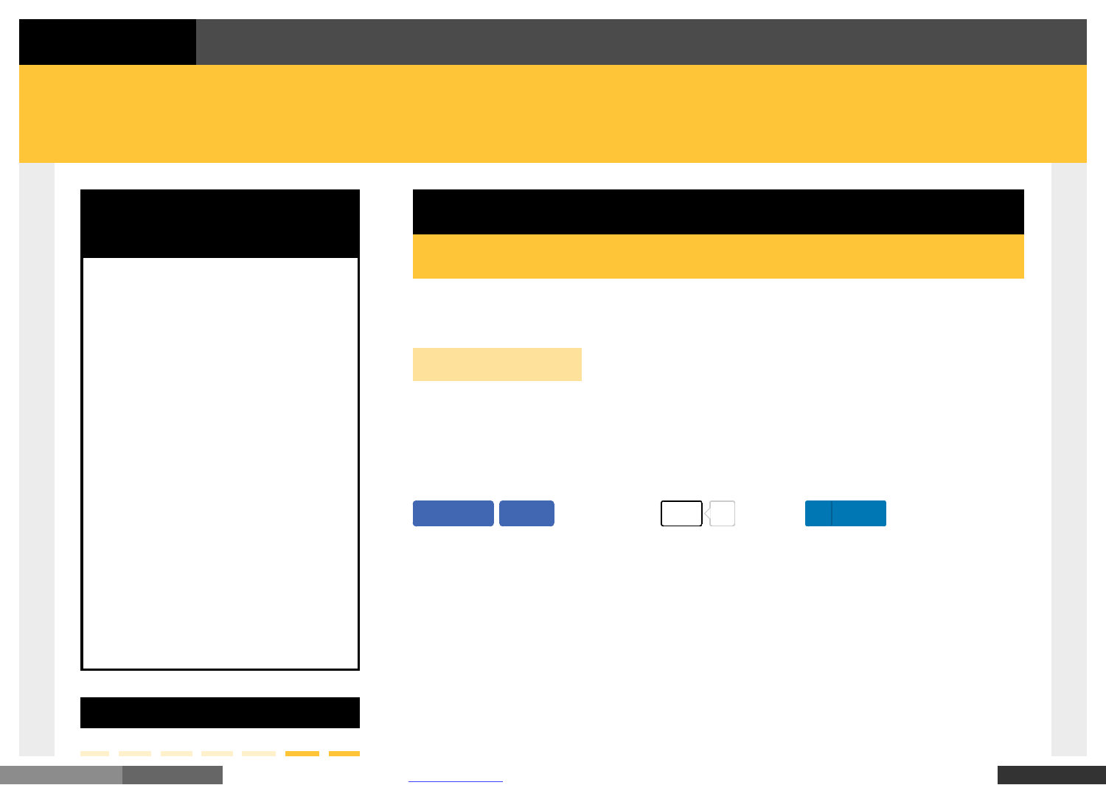# <span id="page-35-0"></span>\*ZIRXM I QERMJIWXE^N

# GIKPM PE 5V

725,12

 $$ / (66 $1'5, $$ 

\$67.

 $%$ , (//\$

& 81(2)

129\$5\$

 $9(5\% $12 \& 86,2$  $2662/$ 

 $9(58)/7$ ,

![](_page_35_Picture_10.jpeg)

# MRGFEKMS

: IVFERS (YWMS 4WWSPE

5 ME ^ ^ E + VE XIPPM 'ERHMIVE **& Q F M I R X I I R E X Y V E** 

# $(MVG41.EQS$

 $/LNH$  6KD

 $8$  [ I I X  $\parallel$ 

6KDI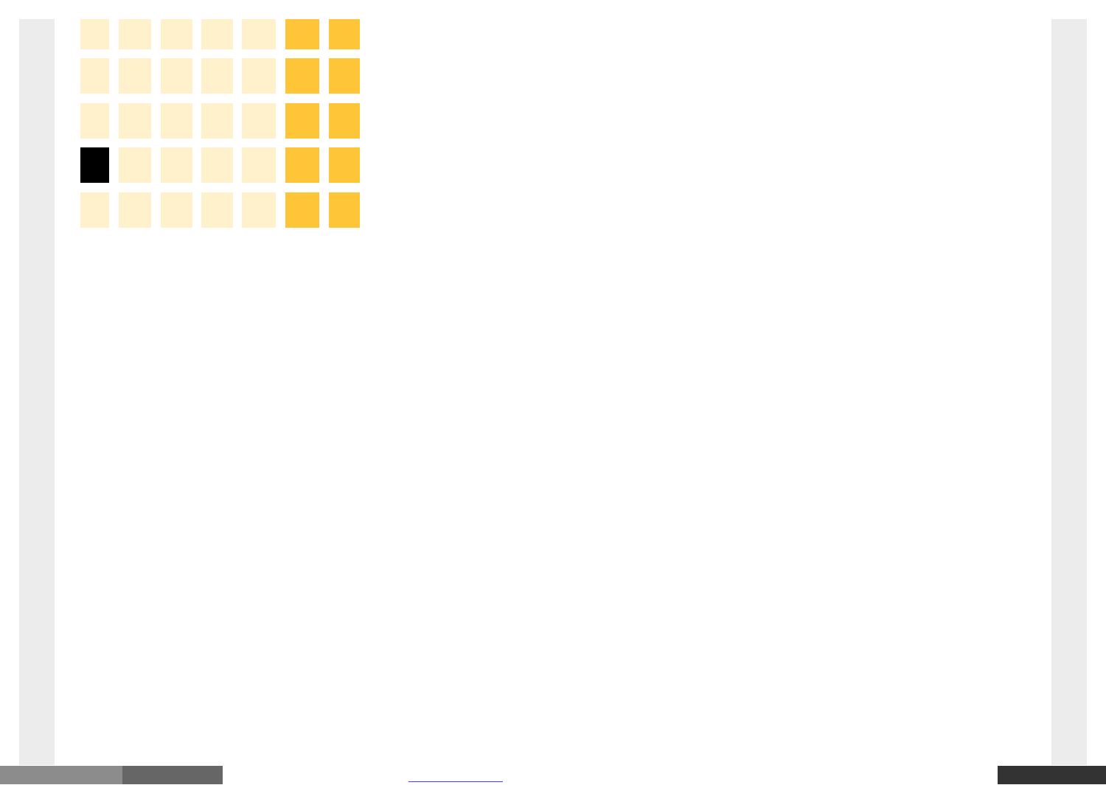1YRIH<sup>2</sup> QEKKMS EVVMZE E : IVFERME Î (MVG IHYGEXMZE MXMRIVERXI HIP (SRWSV^MS 4FFPN PYFVMJMGERXM YWEXM VMWGLM TIV PIEQFMIR RE^MSREPIIPSGEPI )EPPI EPPI  $E$  P P  $M$  R X I ® TVIZMWXS PIMRGSRXVS GSR M VEKE^^M HIPP EP ZMPPEKKMS EPPIWXMXS HEP (SRWSV^MS | K TVMQS WSGMEP KEQI JMREPM^^EXS EPPIIHYGE PIYPXMQE XETTE TMIQSRXIWI HIPPE GEQTEK SVKERM^^EXE HEP (SRWSV^MS 4FFPMKEXSVMS H

& QFMIRXI I REXYVEIP 2MRMWXIVS HIPPI& QFMIRXI I HM & 3(. GSR PISTMRMSRI TYFFPMGE I PI EQQMRMWXVE^MSRM & V X I I G Y P X Y V E HIM PYFVMJMGERXM YWEXM I SXXMOM^^E LXXT III GMVGSPMEQS **MX**  $8$  X X Y E P M X !

'EQFMRM I JEQMKPMI

 $'IR$  JMGIR  $\wedge$  F

(MRIQE

 $E R^{\wedge} E$ 

\*RSKEWXVSRSQME

 $+$  MIVI I QIVGFXM

2 Y W M G F

7 MIZSGE ^ MSRM WXSVMGLI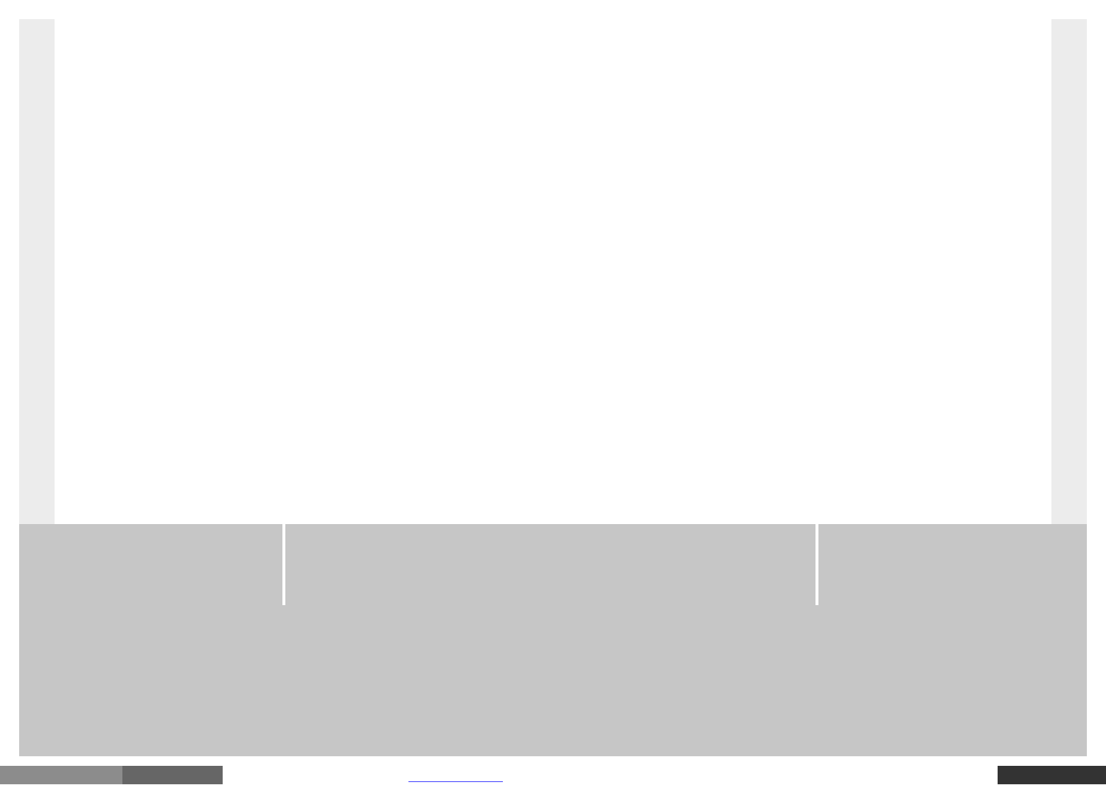GMIRAE I WEPYXI

TSVX

8 I E X V S

## & V G L M Z M S

## 7IHE ^ M S R I

TVMZEG] EGGIWWMFMPMXIRSXIPIKEPM

GSSOMI TSPI

# 7IKMSRI 5MIQSRX

5 M E ^ ^ E (E W X I P P S 8SVMRS

open in browser PRO version Are you a developer? Try out the HTML to PDF API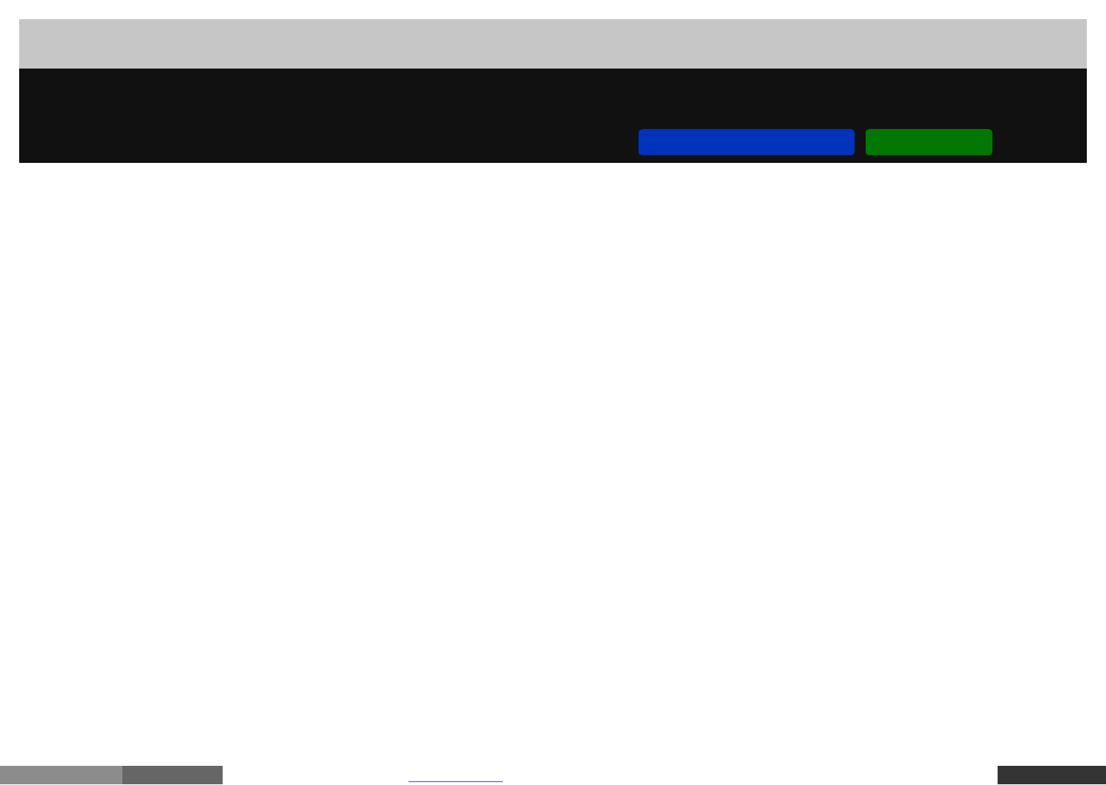4XHVWR VLWR XWLOL]]D FRRNLH DQFKH GL WHU]H SDUWL QHFHVVDUL DO IXQ]LRQDPH<br>FROQUUL VERUULOOR TYULUWR AR U OR FOLEEROOR VYY YO QUON ROURVULIYUQOR OR THE TELL FRANCH CHART CHARL CONTROL CONTROLLED TO THE CONTROL CONTROL CONTROL CONTROL CONTROL CONTROL CONTROL CONTROL CONTROL CONTROL CONTROL CONTROL CONTROL CONTROL CONTROL CONTROL CONTROL CONTROL CONTROL CONTROL CONTROL EDQQHU VFRUUHQGR TXHVWD SDJLQD FOLFFDQGR VX XQ OLQN R SURVHJXHQGR OD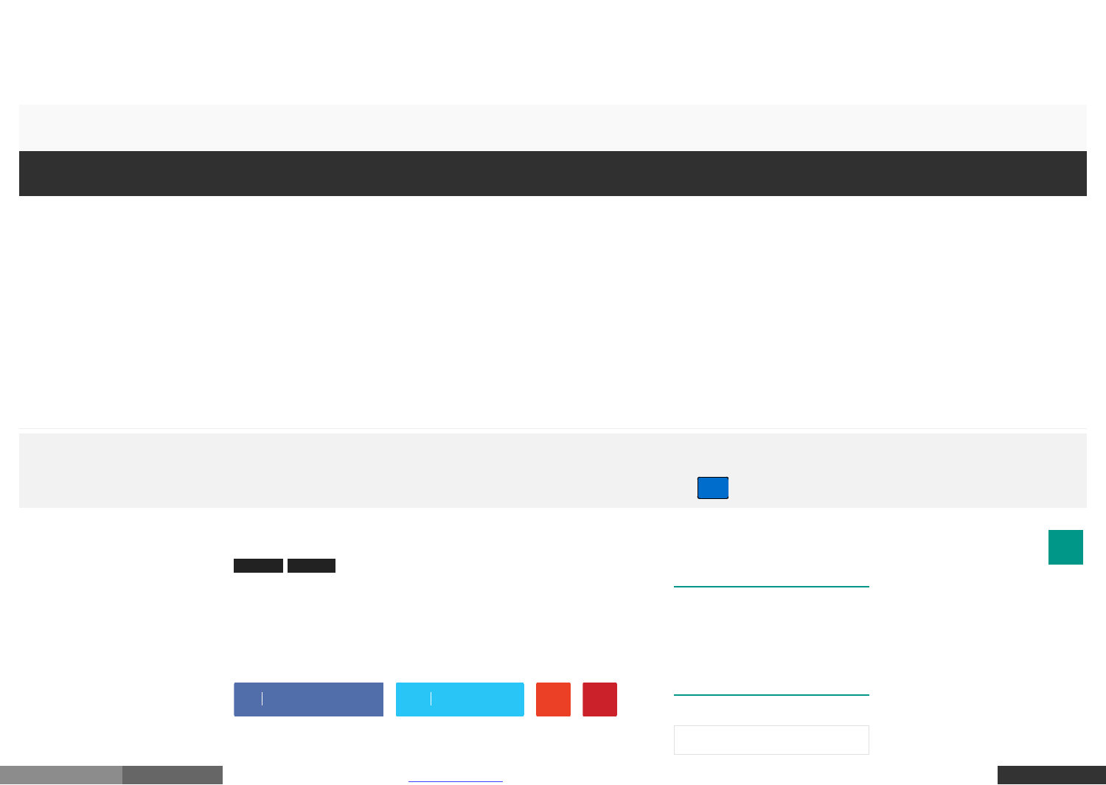![](_page_39_Picture_1.jpeg)

![](_page_39_Figure_2.jpeg)

8WLOL]]LDPR L FRRNLH SHU HVVHUH VLFXUL FKH WX SRVVD DYHUH OD PLJOLRUH HVSHULHQ]D &KLXGHQGR TXHVWR EDQQHU VFRUUHQGR TXHVWD SDJLQD FOLFFDQGR VX XQ OLQN R SURVHJXHQGR OD QDYLJD 2NR V W UD 6H YXRL VDSHUQH GL SL• FRFORMRMOLMM DS

4 W D T K E J SST E J K X K Q

 $+ 4 9$ 

<span id="page-39-0"></span>& 4 E P I V Q S - X ENP W P G F © O C I I K Q SEEGF4KGIKUVTC\K+QDGG %NQI&QPVCVVCEK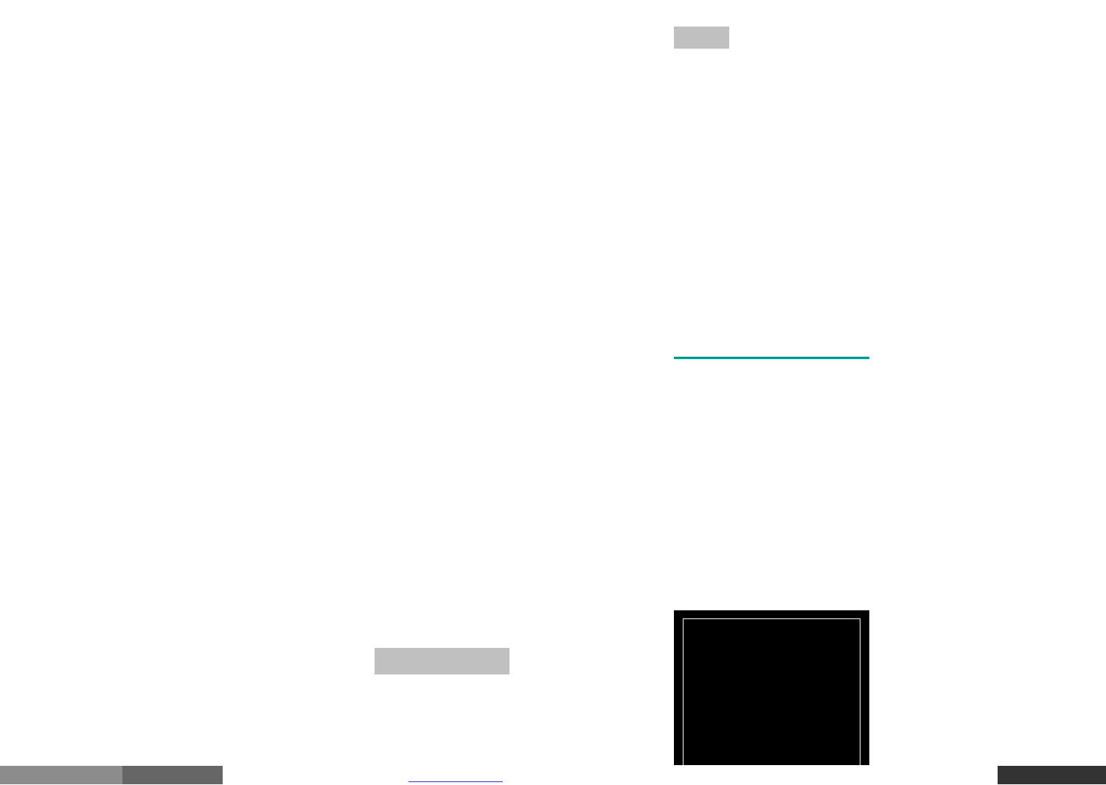$7) + 9 - - 79$ 

![](_page_40_Figure_1.jpeg)

ØUET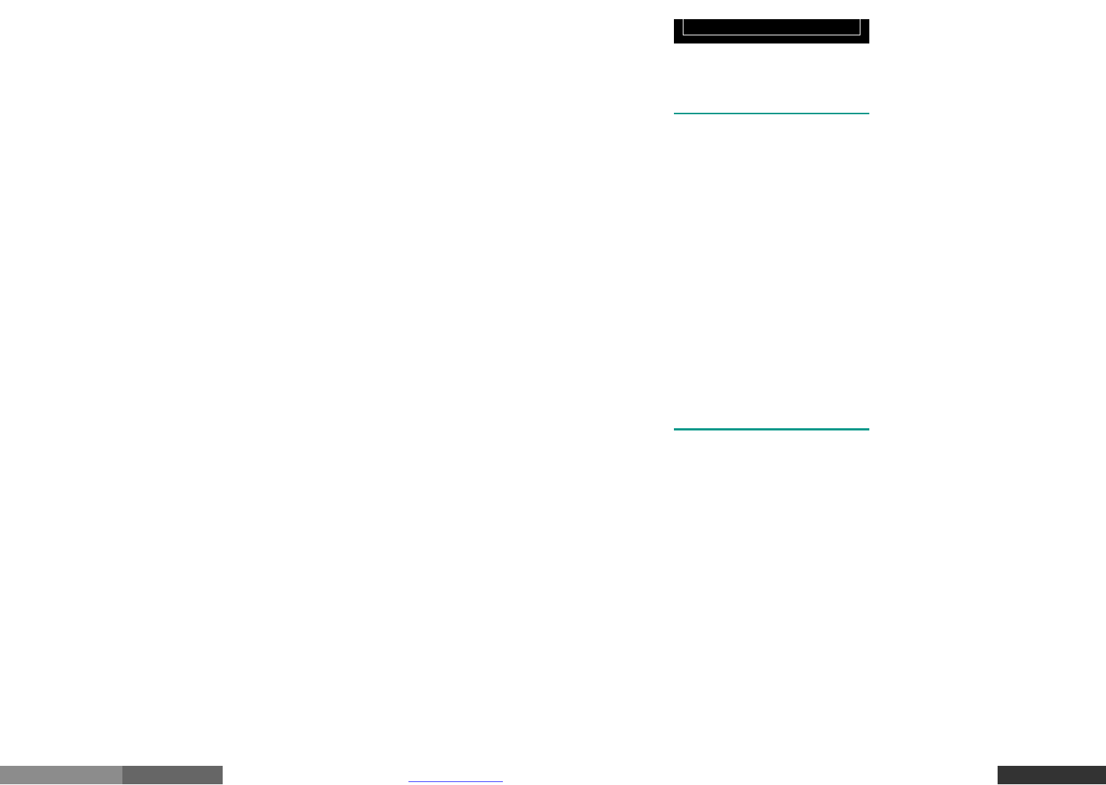&RQVRU]LR 2EEOLJDWRULR GHJOL 2OL 8VDWL**QHOODFRDIHUHUHQULGHOODFRD** FKH VL q WHQXWD QHOO¶DPELWR GL & LUF2/, DPR OD FDPSDJQD HGXFDWLYD LWLQHUDQWHFKHSXQWDDVHQVLELOL]]DUHO¶RSLQLRQHSXEEOLFDHOH DPPLQLVWUD]LRQLORFDOL VXO FRUUHWWR VBOOGW1-P3HGOXWR GHLOXEULILFDQWL XVDWL4XHVWDPDWWLQDLUDJD]]LGHOOHVFXROHKDQQRYLVLWDWRLO YLOODJJLR & LUF2/, DPR SDUWHFLSDQGR DJOL HGXFDWLR, QQQ QQRSVEN, QQNRQ QQFDWL H VILGDQGRVLD<sup>3\*</sup>UHHQ/HDJXH'LOSURJHWWRFKHSUFI<sup>N</sup>YH@SHXQVLVLV&WAYPLBT GL JLRFKL RQOLQH ILQDOL]]DWL DOO¶HGXFD]LRQH DPELHQWDOH 36RQR FRQWHQWRGHOODSUHVHQ]DGHO&RQVRU]LR2EEOLJDWRULRGHJOL2OL8VDWL R JJL QHOOD QRVWUD FLWW j ± GLFKLDUD LO SUHVLGHQWA<sup>GK</sup>GAM & R @ VLYFORL<sup>H</sup>R SYEVERXE:IRXMGMRUYI<br>BRPXQDOH \*HUDUGR0XUDQWH ± 1RYDUD LQTXHVWLDQQQdraNdqnqqGqLvgKyWLQWD WDQWLVVLPR SHU OD UDFFROWD GLIIHUHQ]LDWD \*Lj TXDOFKH DQQR ID HUD VRSUDLO(¶LPSRUWDQWHHGXFDUHLUDJD]]LSHUIDUFDSLUHWDQWH FRVH VXO ULVSHWWR GHOO¶DPELHQWH H GL QRL VWHWYLE 56 SANU QVEDPR LO & RQVRU]LR SHU LOODYRUR FKH SRUWD DYDQWL´ 1H ÖNETTMELOS & RMQ VYRU]LR KD UDFFROWR LQ WXWWD, WDOLD WRQQHOODWH GLIKOLR OXEULILFDQWH XVDWR XQ ULVXOWDWR YLFLQR DO GHO SRWHQILDOH UDFFRJOLELOH FRQ XQ GDWR GL SURGRWWR DYYLDWR D ULJHQHU&NGHQH3VGXSHULRUH DO 3, ULVXOWDWL VRQR VRGGLVIDFHQWL ± VSLHJD <del>)UDQFR %DUEHWWL</del> GLUHWWRUH WHFQLFR RSHUDWLYR GHO &RRX ± PD LO QRVWUR CHUWWLYRUHVWD TXHOOR GL UDFFRJOLHUQH LO '3HU TXHVWR PRWLYR LO &RQVRUILR KD LGHDWR OD FDPSDJQD HGXFDWLYD LWLQHUDQWH & LUFALOPPR FKH LQ GXH DQQL VWD WRFFDQGR WXWWLLFDSROXRJKL GCTSTUGRUQLTQD MUWUEQLDQL XQD FDPSDJQD DJHUR HPLVVLRQL SHUFKP OD TXDQWHWJKREGAR CP RIUDWD VDUj FRPSHQVDWD DWWUDYHUVR LQWHUYHQWL GL IR<u>UHVWD]LRQ</u>H LQ JUDGR GL DVVRUELUH OD &R LPPHVVD LQ DWPRVIHUD 500 PETROESDUWH FKH VIXJJH DQFRUD DOOD UDFFROWD ± FRQWLQXD %TO UDE1HPWPNKE OLE ARTIQ THQWUD VRSUDWWXWWR QHO µIDLGD WH¶ SHU LQWHUFGHWWQQQPARODEERFLGDPRRELVRJQR GHO VXSSRUWR GHOOH DPPLQLVWUD]LRQL ORFDOL SHU XQD VHPSUH PDJJLRUH<br>NCXQTQQDCTFQ GLIIXVLRQHGLLVROHHFRORJLFKHDGLELWHDQFKHDOFRQIHULPHQWRGHJOL ROLOXEULILFDQWLXVDWL´ O CHKOGUUKOPOVGC OCIIKQ '<del>L</del>WRRRNGMY'RRXS 4YFFPMGMKPMEXXMHIP'71

OGVGQDOKNTNCK ØKQTVQ

Q T N C POF DQ U E Q R Q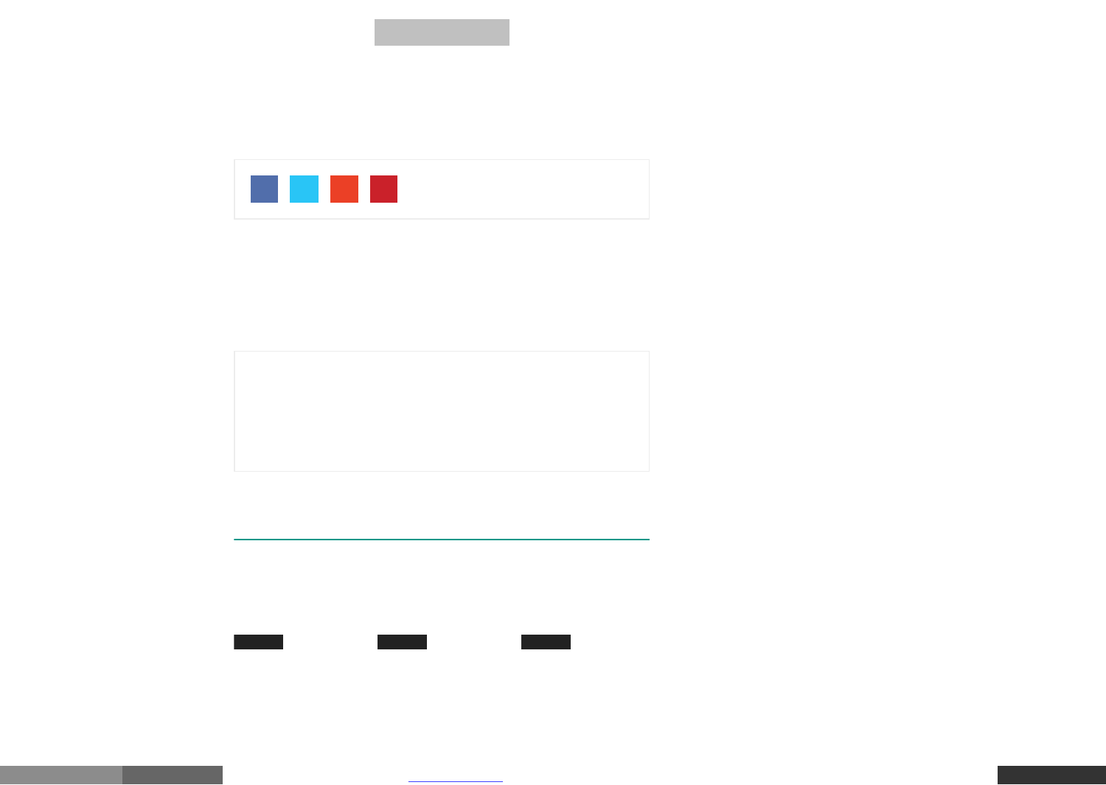| <b>SVFROWD O</b>            |       | RCNGEQQ                      |
|-----------------------------|-------|------------------------------|
|                             |       | R Q N K RK O V G U VOJ W U C |
|                             |       | TGIK QTBIGQPG UKEI           |
|                             |       | TGP\KKHKWOVOKC               |
|                             |       | TQUCTKQ EUTQQSEWGGAUW        |
| $\sqrt{4}$<br>$\mathcal{L}$ | VYGGV | $5$ K E K N K $G$            |
|                             |       | <b>VTCRCGPOK</b> CTKPK       |
|                             |       |                              |

% V X M G S P S T V I G I H I R X I

4 V S W W M Q S E V X M G S P S

#### 4 ETEP EPQW GSPPIGXM SOREHXIIFRY SS WHIMS R& EVM GSRJIVM VÆ PEYVIE \*EGIFSSO LSRSVMW GEYWE E:MXS 4MRHS^^M

![](_page_42_Figure_4.jpeg)

 $%68 - '30 - '366)0%84 - Å$  ()003 78)773 %

| 7N V K O | 7 N V K O | 7 N V K O |
|----------|-----------|-----------|
|          |           |           |

'SRWMT OIKRMRM1E-J\*MKEOIKRMRM + I&RSWIXPSRM HE RSXMAMI Í GSPTE RHIMFTMMSGWYW EEPGS-RREW XMNQI TIV Y S TSPM AME KMYHMT YWFERMIGHT IV XVENWUTERS NE --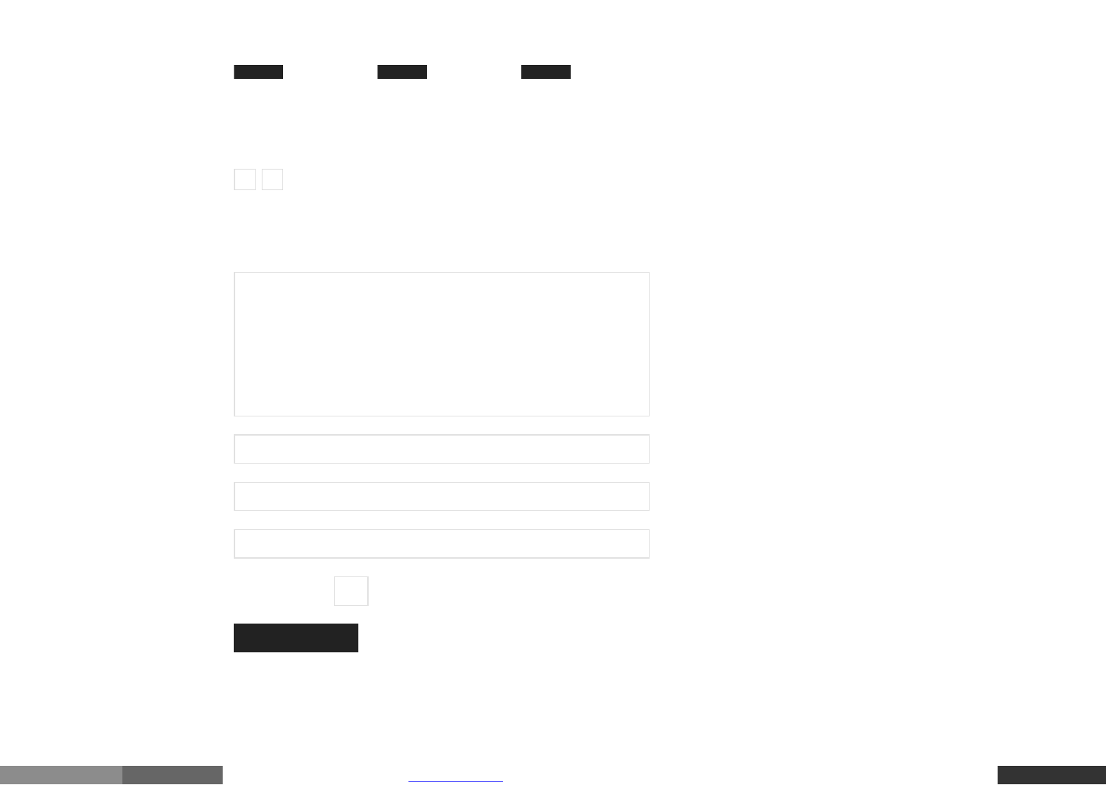| 7 N V K O                                                |  | 7 N V K O |  | 7 N V K O     |  |  |
|----------------------------------------------------------|--|-----------|--|---------------|--|--|
| 0IKKI IPIXXSVEPI–MSIPH4NH6SQE— P"SMQNEEKRKSNISSPXVI      |  |           |  |               |  |  |
| ETVIE & IVPYWGSRIM 1-E4WESHRSARME E 8 S SSHIME TIV ZIHIV |  |           |  |               |  |  |
| E YR GSRJVSRXS WIVMS—                                    |  |           |  | ERXITVMQE JIV |  |  |
|                                                          |  |           |  |               |  |  |
|                                                          |  |           |  |               |  |  |

![](_page_43_Picture_1.jpeg)

#### $0\%7'-\%92'311)283$

| & R P P H Q W R |  |  |  |
|-----------------|--|--|--|
|                 |  |  |  |
|                 |  |  |  |
|                 |  |  |  |
|                 |  |  |  |
|                 |  |  |  |

1RPH

 $(PDLO)$ 

**6LWR:HE** 

FLQTXH

 $\mu$ 

4YFFPMGE 'SO

ORGHUDJLRQH GHL FRPPHQWL DWWLYD , O WXR FRPPHQWR QRQ DSSDULUj LPPHGLDWDPHQWH